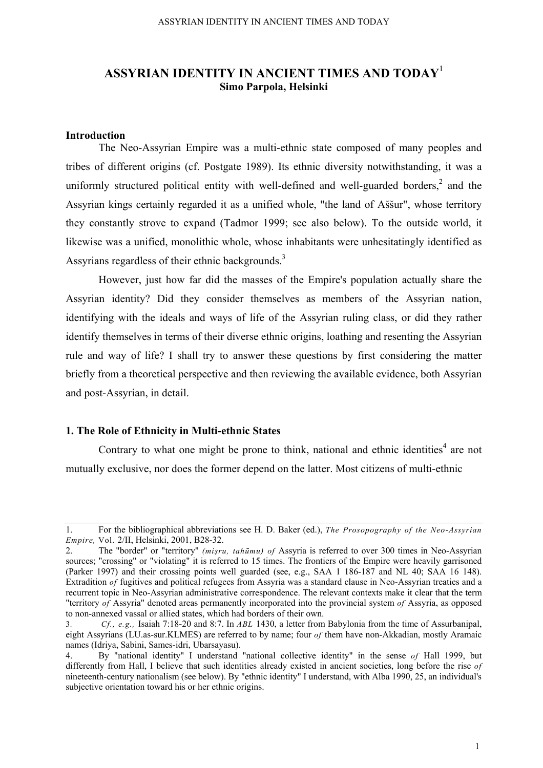# **ASSYRIAN IDENTITY IN ANCIENT TIMES AND TODAY**<sup>1</sup> **Simo Parpola, Helsinki**

## **Introduction**

The Neo-Assyrian Empire was a multi-ethnic state composed of many peoples and tribes of different origins (cf. Postgate 1989). Its ethnic diversity notwithstanding, it was a uniformly structured political entity with well-defined and well-guarded borders, $<sup>2</sup>$  and the</sup> Assyrian kings certainly regarded it as a unified whole, "the land of Aššur", whose territory they constantly strove to expand (Tadmor 1999; see also below). To the outside world, it likewise was a unified, monolithic whole, whose inhabitants were unhesitatingly identified as Assyrians regardless of their ethnic backgrounds.<sup>3</sup>

However, just how far did the masses of the Empire's population actually share the Assyrian identity? Did they consider themselves as members of the Assyrian nation, identifying with the ideals and ways of life of the Assyrian ruling class, or did they rather identify themselves in terms of their diverse ethnic origins, loathing and resenting the Assyrian rule and way of life? I shall try to answer these questions by first considering the matter briefly from a theoretical perspective and then reviewing the available evidence, both Assyrian and post-Assyrian, in detail.

#### **1. The Role of Ethnicity in Multi-ethnic States**

Contrary to what one might be prone to think, national and ethnic identities<sup>4</sup> are not mutually exclusive, nor does the former depend on the latter. Most citizens of multi-ethnic

<sup>1.</sup> For the bibliographical abbreviations see H. D. Baker (ed.), *The Prosopography of the Neo-Assyrian Empire,* Vol. 2/II, Helsinki, 2001, B28-32.

<sup>2.</sup> The "border" or "territory" *(mişru, tahūmu) of* Assyria is referred to over 300 times in Neo-Assyrian sources; "crossing" or "violating" it is referred to 15 times. The frontiers of the Empire were heavily garrisoned (Parker 1997) and their crossing points well guarded (see, e.g., SAA 1 186-187 and NL 40; SAA 16 148). Extradition *of* fugitives and political refugees from Assyria was a standard clause in Neo-Assyrian treaties and a recurrent topic in Neo-Assyrian administrative correspondence. The relevant contexts make it clear that the term "territory *of* Assyria" denoted areas permanently incorporated into the provincial system *of* Assyria, as opposed to non-annexed vassal or allied states, which had borders of their own.

<sup>3</sup>*. Cf., e.g.,* Isaiah 7:18-20 and 8:7. In *ABL* 1430, a letter from Babylonia from the time of Assurbanipal, eight Assyrians (LU.as-sur.KLMES) are referred to by name; four *of* them have non-Akkadian, mostly Aramaic names (Idriya, Sabini, Sames-idri, Ubarsayasu).

<sup>4.</sup> By "national identity" I understand "national collective identity" in the sense *of* Hall 1999, but differently from Hall, I believe that such identities already existed in ancient societies, long before the rise *of*  nineteenth-century nationalism (see below). By "ethnic identity" I understand, with Alba 1990, 25, an individual's subjective orientation toward his or her ethnic origins.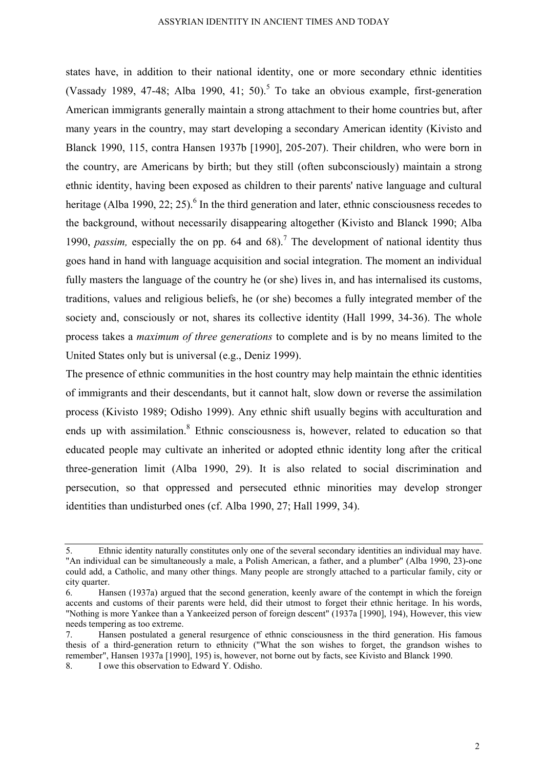states have, in addition to their national identity, one or more secondary ethnic identities (Vassady 1989, 47-48; Alba 1990, 41; 50).<sup>5</sup> To take an obvious example, first-generation American immigrants generally maintain a strong attachment to their home countries but, after many years in the country, may start developing a secondary American identity (Kivisto and Blanck 1990, 115, contra Hansen 1937b [1990], 205-207). Their children, who were born in the country, are Americans by birth; but they still (often subconsciously) maintain a strong ethnic identity, having been exposed as children to their parents' native language and cultural heritage (Alba 1990, 22; 25).<sup>6</sup> In the third generation and later, ethnic consciousness recedes to the background, without necessarily disappearing altogether (Kivisto and Blanck 1990; Alba 1990, *passim*, especially the on pp. 64 and 68).<sup>7</sup> The development of national identity thus goes hand in hand with language acquisition and social integration. The moment an individual fully masters the language of the country he (or she) lives in, and has internalised its customs, traditions, values and religious beliefs, he (or she) becomes a fully integrated member of the society and, consciously or not, shares its collective identity (Hall 1999, 34-36). The whole process takes a *maximum of three generations* to complete and is by no means limited to the United States only but is universal (e.g., Deniz 1999).

The presence of ethnic communities in the host country may help maintain the ethnic identities of immigrants and their descendants, but it cannot halt, slow down or reverse the assimilation process (Kivisto 1989; Odisho 1999). Any ethnic shift usually begins with acculturation and ends up with assimilation.<sup>8</sup> Ethnic consciousness is, however, related to education so that educated people may cultivate an inherited or adopted ethnic identity long after the critical three-generation limit (Alba 1990, 29). It is also related to social discrimination and persecution, so that oppressed and persecuted ethnic minorities may develop stronger identities than undisturbed ones (cf. Alba 1990, 27; Hall 1999, 34).

<sup>5.</sup> Ethnic identity naturally constitutes only one of the several secondary identities an individual may have. "An individual can be simultaneously a male, a Polish American, a father, and a plumber" (Alba 1990, 23)-one could add, a Catholic, and many other things. Many people are strongly attached to a particular family, city or city quarter.

<sup>6.</sup> Hansen (1937a) argued that the second generation, keenly aware of the contempt in which the foreign accents and customs of their parents were held, did their utmost to forget their ethnic heritage. In his words, "Nothing is more Yankee than a Yankeeized person of foreign descent" (1937a [1990], 194), However, this view needs tempering as too extreme.

<sup>7.</sup> Hansen postulated a general resurgence of ethnic consciousness in the third generation. His famous thesis of a third-generation return to ethnicity ("What the son wishes to forget, the grandson wishes to remember", Hansen 1937a [1990], 195) is, however, not borne out by facts, see Kivisto and Blanck 1990. 8. I owe this observation to Edward Y. Odisho.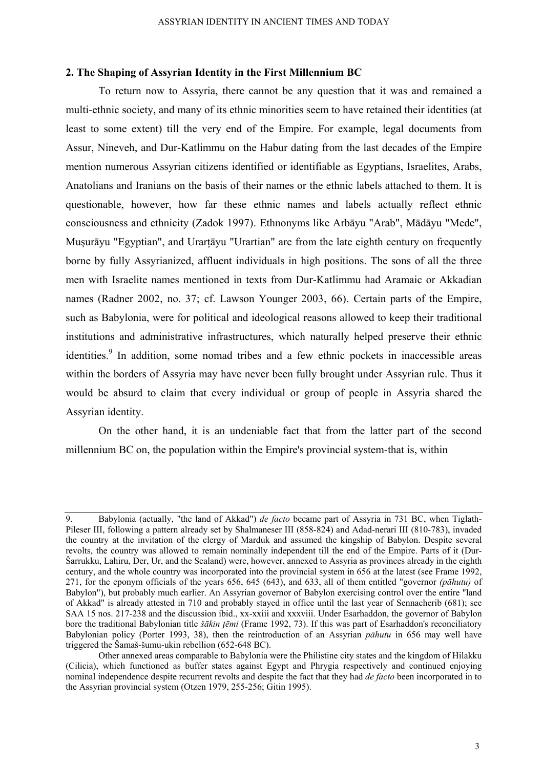### **2. The Shaping of Assyrian Identity in the First Millennium BC**

To return now to Assyria, there cannot be any question that it was and remained a multi-ethnic society, and many of its ethnic minorities seem to have retained their identities (at least to some extent) till the very end of the Empire. For example, legal documents from Assur, Nineveh, and Dur-Katlimmu on the Habur dating from the last decades of the Empire mention numerous Assyrian citizens identified or identifiable as Egyptians, Israelites, Arabs, Anatolians and Iranians on the basis of their names or the ethnic labels attached to them. It is questionable, however, how far these ethnic names and labels actually reflect ethnic consciousness and ethnicity (Zadok 1997). Ethnonyms like Arbāyu "Arab", Mādāyu "Mede", Muşurāyu "Egyptian", and Urarţāyu "Urartian" are from the late eighth century on frequently borne by fully Assyrianized, affluent individuals in high positions. The sons of all the three men with Israelite names mentioned in texts from Dur-Katlimmu had Aramaic or Akkadian names (Radner 2002, no. 37; cf. Lawson Younger 2003, 66). Certain parts of the Empire, such as Babylonia, were for political and ideological reasons allowed to keep their traditional institutions and administrative infrastructures, which naturally helped preserve their ethnic identities.<sup>9</sup> In addition, some nomad tribes and a few ethnic pockets in inaccessible areas within the borders of Assyria may have never been fully brought under Assyrian rule. Thus it would be absurd to claim that every individual or group of people in Assyria shared the Assyrian identity.

On the other hand, it is an undeniable fact that from the latter part of the second millennium BC on, the population within the Empire's provincial system-that is, within

<sup>9.</sup> Babylonia (actually, "the land of Akkad") *de facto* became part of Assyria in 731 BC, when Tiglath-Pileser III, following a pattern already set by Shalmaneser III (858-824) and Adad-nerari III (810-783), invaded the country at the invitation of the clergy of Marduk and assumed the kingship of Babylon. Despite several revolts, the country was allowed to remain nominally independent till the end of the Empire. Parts of it (Dur-Šarrukku, Lahiru, Der, Ur, and the Sealand) were, however, annexed to Assyria as provinces already in the eighth century, and the whole country was incorporated into the provincial system in 656 at the latest (see Frame 1992, 271, for the eponym officials of the years 656, 645 (643), and 633, all of them entitled "governor *(pāhutu)* of Babylon"), but probably much earlier. An Assyrian governor of Babylon exercising control over the entire "land of Akkad" is already attested in 710 and probably stayed in office until the last year of Sennacherib (681); see SAA 15 nos. 217-238 and the discussion ibid., xx-xxiii and xxxviii. Under Esarhaddon, the governor of Babylon bore the traditional Babylonian title *šākin tēmi* (Frame 1992, 73). If this was part of Esarhaddon's reconciliatory Babylonian policy (Porter 1993, 38), then the reintroduction of an Assyrian *pāhutu* in 656 may well have triggered the Šamaš-šumu-ukin rebellion (652-648 BC).

Other annexed areas comparable to Babylonia were the Philistine city states and the kingdom of Hilakku (Cilicia), which functioned as buffer states against Egypt and Phrygia respectively and continued enjoying nominal independence despite recurrent revolts and despite the fact that they had *de facto* been incorporated in to the Assyrian provincial system (Otzen 1979, 255-256; Gitin 1995).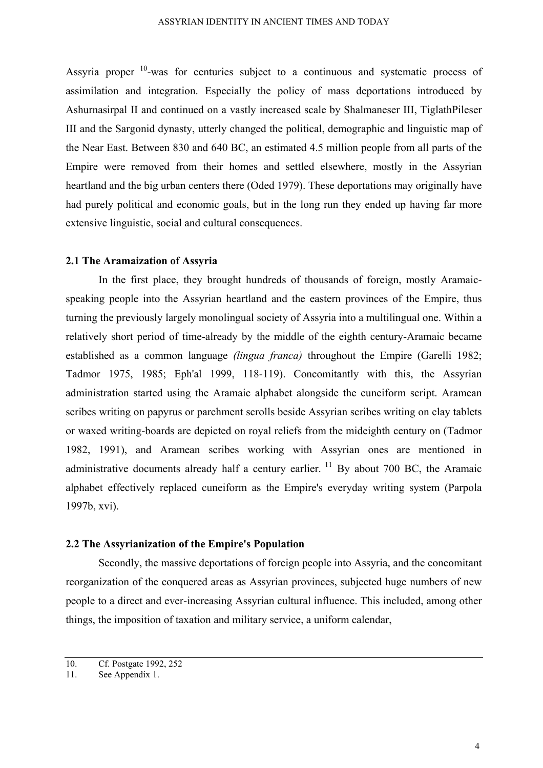Assyria proper  $10$ -was for centuries subject to a continuous and systematic process of assimilation and integration. Especially the policy of mass deportations introduced by Ashurnasirpal II and continued on a vastly increased scale by Shalmaneser III, TiglathPileser III and the Sargonid dynasty, utterly changed the political, demographic and linguistic map of the Near East. Between 830 and 640 BC, an estimated 4.5 million people from all parts of the Empire were removed from their homes and settled elsewhere, mostly in the Assyrian heartland and the big urban centers there (Oded 1979). These deportations may originally have had purely political and economic goals, but in the long run they ended up having far more extensive linguistic, social and cultural consequences.

### **2.1 The Aramaization of Assyria**

In the first place, they brought hundreds of thousands of foreign, mostly Aramaicspeaking people into the Assyrian heartland and the eastern provinces of the Empire, thus turning the previously largely monolingual society of Assyria into a multilingual one. Within a relatively short period of time-already by the middle of the eighth century-Aramaic became established as a common language *(lingua franca)* throughout the Empire (Garelli 1982; Tadmor 1975, 1985; Eph'al 1999, 118-119). Concomitantly with this, the Assyrian administration started using the Aramaic alphabet alongside the cuneiform script. Aramean scribes writing on papyrus or parchment scrolls beside Assyrian scribes writing on clay tablets or waxed writing-boards are depicted on royal reliefs from the mideighth century on (Tadmor 1982, 1991), and Aramean scribes working with Assyrian ones are mentioned in administrative documents already half a century earlier.  $^{11}$  By about 700 BC, the Aramaic alphabet effectively replaced cuneiform as the Empire's everyday writing system (Parpola 1997b, xvi).

## **2.2 The Assyrianization of the Empire's Population**

Secondly, the massive deportations of foreign people into Assyria, and the concomitant reorganization of the conquered areas as Assyrian provinces, subjected huge numbers of new people to a direct and ever-increasing Assyrian cultural influence. This included, among other things, the imposition of taxation and military service, a uniform calendar,

<sup>10.</sup> Cf. Postgate 1992, 252

<sup>11.</sup> See Appendix 1.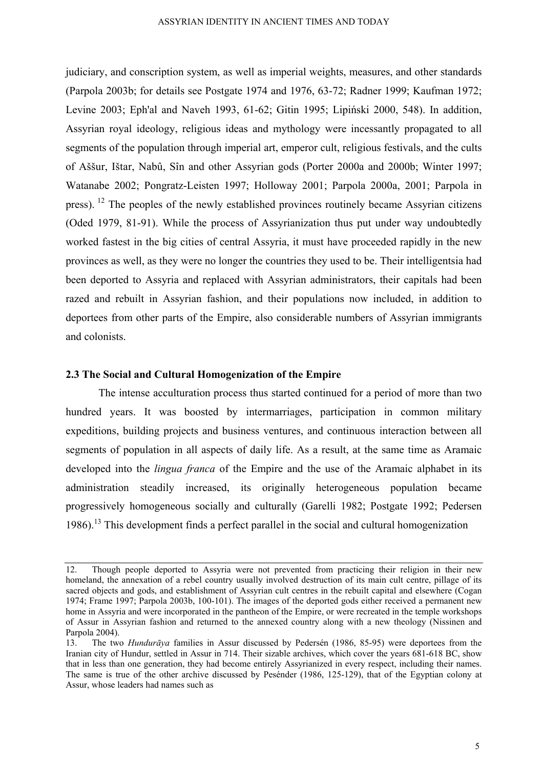judiciary, and conscription system, as well as imperial weights, measures, and other standards (Parpola 2003b; for details see Postgate 1974 and 1976, 63-72; Radner 1999; Kaufman 1972; Levine 2003; Eph'al and Naveh 1993, 61-62; Gitin 1995; Lipiński 2000, 548). In addition, Assyrian royal ideology, religious ideas and mythology were incessantly propagated to all segments of the population through imperial art, emperor cult, religious festivals, and the cults of Aššur, Ištar, Nabû, Sîn and other Assyrian gods (Porter 2000a and 2000b; Winter 1997; Watanabe 2002; Pongratz-Leisten 1997; Holloway 2001; Parpola 2000a, 2001; Parpola in press).  $^{12}$  The peoples of the newly established provinces routinely became Assyrian citizens (Oded 1979, 81-91). While the process of Assyrianization thus put under way undoubtedly worked fastest in the big cities of central Assyria, it must have proceeded rapidly in the new provinces as well, as they were no longer the countries they used to be. Their intelligentsia had been deported to Assyria and replaced with Assyrian administrators, their capitals had been razed and rebuilt in Assyrian fashion, and their populations now included, in addition to deportees from other parts of the Empire, also considerable numbers of Assyrian immigrants and colonists.

### **2.3 The Social and Cultural Homogenization of the Empire**

The intense acculturation process thus started continued for a period of more than two hundred years. It was boosted by intermarriages, participation in common military expeditions, building projects and business ventures, and continuous interaction between all segments of population in all aspects of daily life. As a result, at the same time as Aramaic developed into the *lingua franca* of the Empire and the use of the Aramaic alphabet in its administration steadily increased, its originally heterogeneous population became progressively homogeneous socially and culturally (Garelli 1982; Postgate 1992; Pedersen 1986).<sup>13</sup> This development finds a perfect parallel in the social and cultural homogenization

<sup>12.</sup> Though people deported to Assyria were not prevented from practicing their religion in their new homeland, the annexation of a rebel country usually involved destruction of its main cult centre, pillage of its sacred objects and gods, and establishment of Assyrian cult centres in the rebuilt capital and elsewhere (Cogan 1974; Frame 1997; Parpola 2003b, 100-101). The images of the deported gods either received a permanent new home in Assyria and were incorporated in the pantheon of the Empire, or were recreated in the temple workshops of Assur in Assyrian fashion and returned to the annexed country along with a new theology (Nissinen and Parpola 2004).

<sup>13.</sup> The two *Hundurāya* families in Assur discussed by Pedersén (1986, 85-95) were deportees from the Iranian city of Hundur, settled in Assur in 714. Their sizable archives, which cover the years 681-618 BC, show that in less than one generation, they had become entirely Assyrianized in every respect, including their names. The same is true of the other archive discussed by Pesénder (1986, 125-129), that of the Egyptian colony at Assur, whose leaders had names such as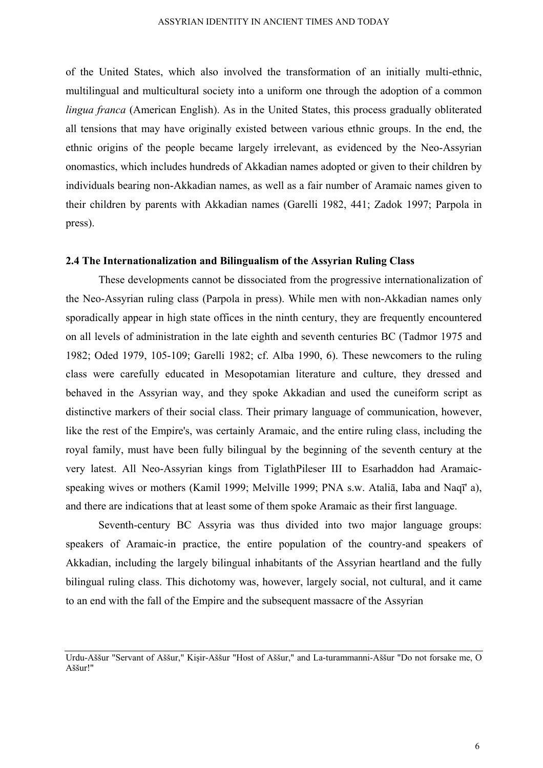of the United States, which also involved the transformation of an initially multi-ethnic, multilingual and multicultural society into a uniform one through the adoption of a common *lingua franca* (American English). As in the United States, this process gradually obliterated all tensions that may have originally existed between various ethnic groups. In the end, the ethnic origins of the people became largely irrelevant, as evidenced by the Neo-Assyrian onomastics, which includes hundreds of Akkadian names adopted or given to their children by individuals bearing non-Akkadian names, as well as a fair number of Aramaic names given to their children by parents with Akkadian names (Garelli 1982, 441; Zadok 1997; Parpola in press).

### **2.4 The Internationalization and Bilingualism of the Assyrian Ruling Class**

These developments cannot be dissociated from the progressive internationalization of the Neo-Assyrian ruling class (Parpola in press). While men with non-Akkadian names only sporadically appear in high state offices in the ninth century, they are frequently encountered on all levels of administration in the late eighth and seventh centuries BC (Tadmor 1975 and 1982; Oded 1979, 105-109; Garelli 1982; cf. Alba 1990, 6). These newcomers to the ruling class were carefully educated in Mesopotamian literature and culture, they dressed and behaved in the Assyrian way, and they spoke Akkadian and used the cuneiform script as distinctive markers of their social class. Their primary language of communication, however, like the rest of the Empire's, was certainly Aramaic, and the entire ruling class, including the royal family, must have been fully bilingual by the beginning of the seventh century at the very latest. All Neo-Assyrian kings from TiglathPileser III to Esarhaddon had Aramaicspeaking wives or mothers (Kamil 1999; Melville 1999; PNA s.w. Ataliā, Iaba and Naqī' a), and there are indications that at least some of them spoke Aramaic as their first language.

Seventh-century BC Assyria was thus divided into two major language groups: speakers of Aramaic-in practice, the entire population of the country-and speakers of Akkadian, including the largely bilingual inhabitants of the Assyrian heartland and the fully bilingual ruling class. This dichotomy was, however, largely social, not cultural, and it came to an end with the fall of the Empire and the subsequent massacre of the Assyrian

Urdu-Aššur "Servant of Aššur," Kişir-Aššur "Host of Aššur," and La-turammanni-Aššur "Do not forsake me, O Aššur!"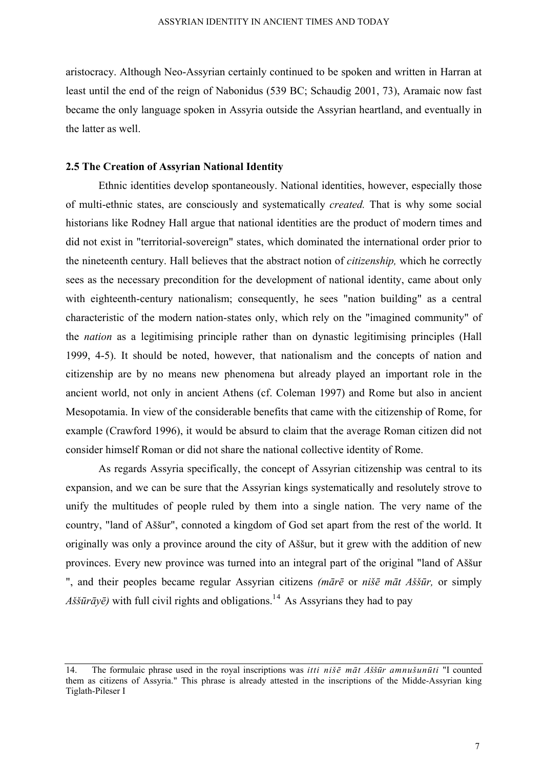aristocracy. Although Neo-Assyrian certainly continued to be spoken and written in Harran at least until the end of the reign of Nabonidus (539 BC; Schaudig 2001, 73), Aramaic now fast became the only language spoken in Assyria outside the Assyrian heartland, and eventually in the latter as well.

## **2.5 The Creation of Assyrian National Identity**

Ethnic identities develop spontaneously. National identities, however, especially those of multi-ethnic states, are consciously and systematically *created.* That is why some social historians like Rodney Hall argue that national identities are the product of modern times and did not exist in "territorial-sovereign" states, which dominated the international order prior to the nineteenth century. Hall believes that the abstract notion of *citizenship,* which he correctly sees as the necessary precondition for the development of national identity, came about only with eighteenth-century nationalism; consequently, he sees "nation building" as a central characteristic of the modern nation-states only, which rely on the "imagined community" of the *nation* as a legitimising principle rather than on dynastic legitimising principles (Hall 1999, 4-5). It should be noted, however, that nationalism and the concepts of nation and citizenship are by no means new phenomena but already played an important role in the ancient world, not only in ancient Athens (cf. Coleman 1997) and Rome but also in ancient Mesopotamia. In view of the considerable benefits that came with the citizenship of Rome, for example (Crawford 1996), it would be absurd to claim that the average Roman citizen did not consider himself Roman or did not share the national collective identity of Rome.

As regards Assyria specifically, the concept of Assyrian citizenship was central to its expansion, and we can be sure that the Assyrian kings systematically and resolutely strove to unify the multitudes of people ruled by them into a single nation. The very name of the country, "land of Aššur", connoted a kingdom of God set apart from the rest of the world. It originally was only a province around the city of Aššur, but it grew with the addition of new provinces. Every new province was turned into an integral part of the original "land of Aššur ", and their peoples became regular Assyrian citizens *(mārē* or *nišē māt Aššūr,* or simply *Aššūrā* $y\bar{e}$ *)* with full civil rights and obligations.<sup>14</sup> As Assyrians they had to pay

<sup>14.</sup> The formulaic phrase used in the royal inscriptions was *itti nišē māt Aššūr amnušunūti* "I counted them as citizens of Assyria." This phrase is already attested in the inscriptions of the Midde-Assyrian king Tiglath-Pileser I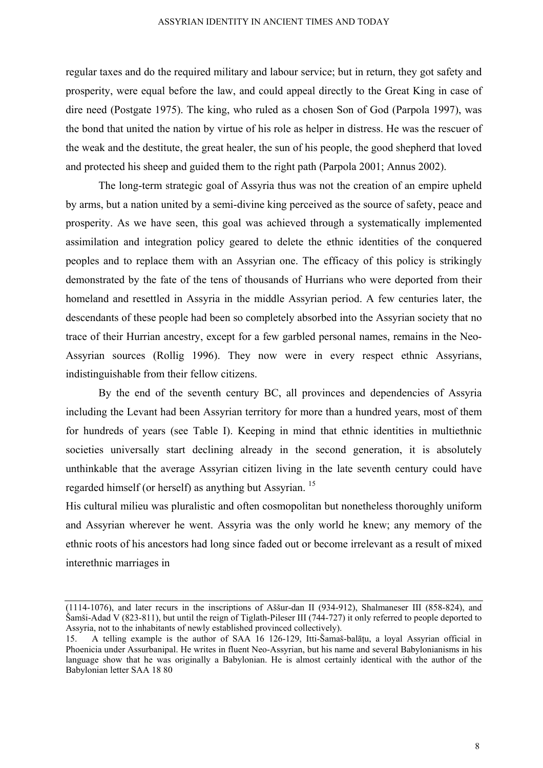regular taxes and do the required military and labour service; but in return, they got safety and prosperity, were equal before the law, and could appeal directly to the Great King in case of dire need (Postgate 1975). The king, who ruled as a chosen Son of God (Parpola 1997), was the bond that united the nation by virtue of his role as helper in distress. He was the rescuer of the weak and the destitute, the great healer, the sun of his people, the good shepherd that loved and protected his sheep and guided them to the right path (Parpola 2001; Annus 2002).

The long-term strategic goal of Assyria thus was not the creation of an empire upheld by arms, but a nation united by a semi-divine king perceived as the source of safety, peace and prosperity. As we have seen, this goal was achieved through a systematically implemented assimilation and integration policy geared to delete the ethnic identities of the conquered peoples and to replace them with an Assyrian one. The efficacy of this policy is strikingly demonstrated by the fate of the tens of thousands of Hurrians who were deported from their homeland and resettled in Assyria in the middle Assyrian period. A few centuries later, the descendants of these people had been so completely absorbed into the Assyrian society that no trace of their Hurrian ancestry, except for a few garbled personal names, remains in the Neo-Assyrian sources (Rollig 1996). They now were in every respect ethnic Assyrians, indistinguishable from their fellow citizens.

By the end of the seventh century BC, all provinces and dependencies of Assyria including the Levant had been Assyrian territory for more than a hundred years, most of them for hundreds of years (see Table I). Keeping in mind that ethnic identities in multiethnic societies universally start declining already in the second generation, it is absolutely unthinkable that the average Assyrian citizen living in the late seventh century could have regarded himself (or herself) as anything but Assyrian. 15

His cultural milieu was pluralistic and often cosmopolitan but nonetheless thoroughly uniform and Assyrian wherever he went. Assyria was the only world he knew; any memory of the ethnic roots of his ancestors had long since faded out or become irrelevant as a result of mixed interethnic marriages in

<sup>(1114-1076),</sup> and later recurs in the inscriptions of Aššur-dan II (934-912), Shalmaneser III (858-824), and Šamši-Adad V (823-811), but until the reign of Tiglath-Pileser III (744-727) it only referred to people deported to Assyria, not to the inhabitants of newly established provinced collectively).

<sup>15.</sup> A telling example is the author of SAA 16 126-129, Itti-Šamaš-balāţu, a loyal Assyrian official in Phoenicia under Assurbanipal. He writes in fluent Neo-Assyrian, but his name and several Babylonianisms in his language show that he was originally a Babylonian. He is almost certainly identical with the author of the Babylonian letter SAA 18 80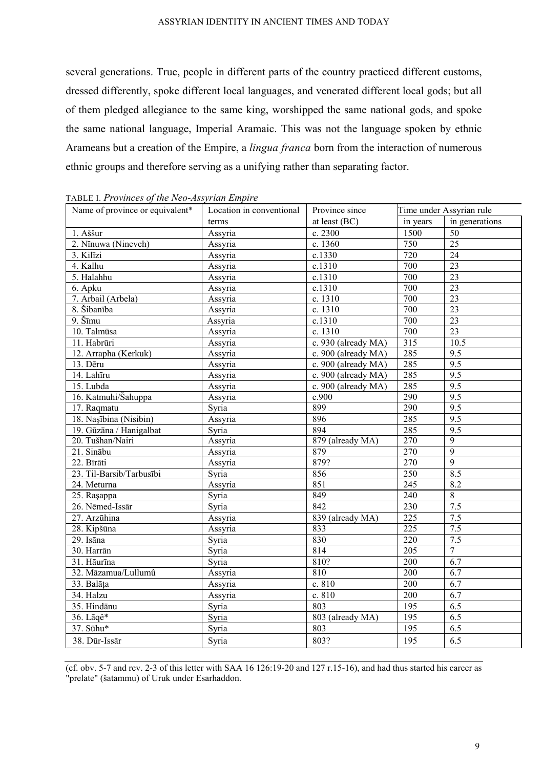several generations. True, people in different parts of the country practiced different customs, dressed differently, spoke different local languages, and venerated different local gods; but all of them pledged allegiance to the same king, worshipped the same national gods, and spoke the same national language, Imperial Aramaic. This was not the language spoken by ethnic Arameans but a creation of the Empire, a *lingua franca* born from the interaction of numerous ethnic groups and therefore serving as a unifying rather than separating factor.

| $\overline{111}$ $\overline{211}$ $\overline{111}$ $\overline{101}$ $\overline{100}$ $\overline{21}$ $\overline{21}$ $\overline{21}$ $\overline{23}$ $\overline{21}$ $\overline{23}$ $\overline{21}$ $\overline{23}$ $\overline{21}$ $\overline{23}$ $\overline{21}$ $\overline{23}$ $\overline{21}$ $\overline{23}$ $\overline{21}$ $\overline{23}$ $\overline{21}$ $\overline{23}$ $\overline{21}$<br>Name of province or equivalent* | Location in conventional | Province since      | Time under Assyrian rule |                  |
|-----------------------------------------------------------------------------------------------------------------------------------------------------------------------------------------------------------------------------------------------------------------------------------------------------------------------------------------------------------------------------------------------------------------------------------------|--------------------------|---------------------|--------------------------|------------------|
|                                                                                                                                                                                                                                                                                                                                                                                                                                         | terms                    | at least (BC)       | in years                 | in generations   |
| 1. Aššur                                                                                                                                                                                                                                                                                                                                                                                                                                | Assyria                  | c. 2300             | 1500                     | 50               |
| 2. Nīnuwa (Nineveh)                                                                                                                                                                                                                                                                                                                                                                                                                     | Assyria                  | c. 1360             | 750                      | 25               |
| 3. Kilīzi                                                                                                                                                                                                                                                                                                                                                                                                                               | Assyria                  | c.1330              | 720                      | 24               |
| 4. Kalhu                                                                                                                                                                                                                                                                                                                                                                                                                                | Assyria                  | c.1310              | 700                      | 23               |
| 5. Halahhu                                                                                                                                                                                                                                                                                                                                                                                                                              | Assyria                  | c.1310              | 700                      | $\overline{23}$  |
| 6. Apku                                                                                                                                                                                                                                                                                                                                                                                                                                 | Assyria                  | c.1310              | 700                      | 23               |
| 7. Arbail (Arbela)                                                                                                                                                                                                                                                                                                                                                                                                                      | Assyria                  | c. 1310             | 700                      | 23               |
| 8. Šibanība                                                                                                                                                                                                                                                                                                                                                                                                                             | Assyria                  | c. 1310             | 700                      | 23               |
| 9. Šīmu                                                                                                                                                                                                                                                                                                                                                                                                                                 | Assyria                  | c.1310              | 700                      | $\overline{23}$  |
| 10. Talmūsa                                                                                                                                                                                                                                                                                                                                                                                                                             | Assyria                  | c. 1310             | 700                      | $\overline{23}$  |
| $\overline{11}$ . Habrūri                                                                                                                                                                                                                                                                                                                                                                                                               | Assyria                  | c. 930 (already MA) | $\overline{315}$         | 10.5             |
| 12. Arrapha (Kerkuk)                                                                                                                                                                                                                                                                                                                                                                                                                    | Assyria                  | c. 900 (already MA) | 285                      | 9.5              |
| 13. Dēru                                                                                                                                                                                                                                                                                                                                                                                                                                | Assyria                  | c. 900 (already MA) | 285                      | 9.5              |
| 14. Lahīru                                                                                                                                                                                                                                                                                                                                                                                                                              | Assyria                  | c. 900 (already MA) | 285                      | $\overline{9.5}$ |
| 15. Lubda                                                                                                                                                                                                                                                                                                                                                                                                                               | Assyria                  | c. 900 (already MA) | 285                      | $\overline{9.5}$ |
| 16. Katmuhi/Šahuppa                                                                                                                                                                                                                                                                                                                                                                                                                     | Assyria                  | c.900               | 290                      | 9.5              |
| 17. Raqmatu                                                                                                                                                                                                                                                                                                                                                                                                                             | Syria                    | 899                 | 290                      | 9.5              |
| 18. Nașībina (Nisibin)                                                                                                                                                                                                                                                                                                                                                                                                                  | Assyria                  | 896                 | 285                      | 9.5              |
| 19. Gūzāna / Hanigalbat                                                                                                                                                                                                                                                                                                                                                                                                                 | Syria                    | 894                 | 285                      | 9.5              |
| 20. Tušhan/Nairi                                                                                                                                                                                                                                                                                                                                                                                                                        | Assyria                  | 879 (already MA)    | 270                      | $\overline{9}$   |
| 21. Sinābu                                                                                                                                                                                                                                                                                                                                                                                                                              | Assyria                  | 879                 | 270                      | $\overline{9}$   |
| 22. Bīrāti                                                                                                                                                                                                                                                                                                                                                                                                                              | Assyria                  | 879?                | 270                      | $\overline{9}$   |
| 23. Til-Barsib/Tarbusībi                                                                                                                                                                                                                                                                                                                                                                                                                | Syria                    | 856                 | 250                      | 8.5              |
| 24. Meturna                                                                                                                                                                                                                                                                                                                                                                                                                             | Assyria                  | 851                 | $\overline{245}$         | 8.2              |
| $25.$ Raşappa                                                                                                                                                                                                                                                                                                                                                                                                                           | Syria                    | 849                 | 240                      | 8                |
| 26. Nēmed-Issār                                                                                                                                                                                                                                                                                                                                                                                                                         | Syria                    | 842                 | 230                      | 7.5              |
| 27. Arzūhina                                                                                                                                                                                                                                                                                                                                                                                                                            | Assyria                  | 839 (already MA)    | 225                      | 7.5              |
| 28. Kipšūna                                                                                                                                                                                                                                                                                                                                                                                                                             | Assyria                  | 833                 | 225                      | $\overline{7.5}$ |
| 29. Isāna                                                                                                                                                                                                                                                                                                                                                                                                                               | Syria                    | 830                 | 220                      | 7.5              |
| 30. Harrān                                                                                                                                                                                                                                                                                                                                                                                                                              | Syria                    | 814                 | 205                      | $\overline{7}$   |
| 31. Hāurīna                                                                                                                                                                                                                                                                                                                                                                                                                             | Syria                    | 810?                | 200                      | 6.7              |
| 32. Māzamua/Lullumû                                                                                                                                                                                                                                                                                                                                                                                                                     | Assyria                  | 810                 | 200                      | 6.7              |
| 33. Balāța                                                                                                                                                                                                                                                                                                                                                                                                                              | Assyria                  | c. 810              | 200                      | 6.7              |
| 34. Halzu                                                                                                                                                                                                                                                                                                                                                                                                                               | Assyria                  | c. 810              | 200                      | 6.7              |
| 35. Hindānu                                                                                                                                                                                                                                                                                                                                                                                                                             | Syria                    | 803                 | 195                      | 6.5              |
| 36. Lāqê*                                                                                                                                                                                                                                                                                                                                                                                                                               | Syria                    | 803 (already MA)    | 195                      | 6.5              |
| 37. Sūhu*                                                                                                                                                                                                                                                                                                                                                                                                                               | Syria                    | 803                 | $\overline{195}$         | 6.5              |
| 38. Dūr-Issār                                                                                                                                                                                                                                                                                                                                                                                                                           | Syria                    | 803?                | 195                      | 6.5              |

TABLE I. *Provinces of the Neo-Assyrian Empire* 

(cf. obv. 5-7 and rev. 2-3 of this letter with SAA 16 126:19-20 and 127 r.15-16), and had thus started his career as "prelate" (šatammu) of Uruk under Esarhaddon.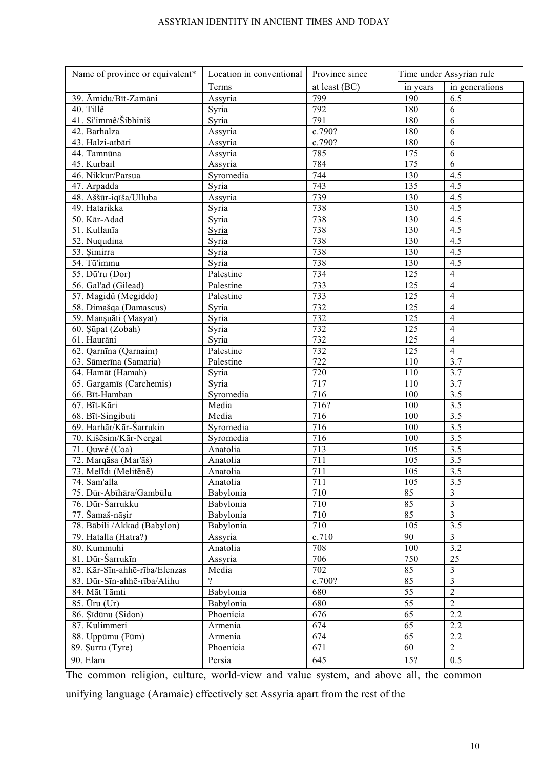| Name of province or equivalent*              | Location in conventional | Province since | Time under Assyrian rule |                         |
|----------------------------------------------|--------------------------|----------------|--------------------------|-------------------------|
|                                              | Terms                    | at least (BC)  | in years                 | in generations          |
| 39. Āmidu/Bīt-Zamāni                         | Assyria                  | 799            | 190                      | 6.5                     |
| 40. Tillê                                    | Syria                    | 792            | 180                      | 6                       |
| 41. Si'immê/Šibhiniš                         | Syria                    | 791            | 180                      | 6                       |
| 42. Barhalza                                 | Assyria                  | c.790?         | 180                      | 6                       |
| 43. Halzi-atbāri                             | Assyria                  | c.790?         | 180                      | 6                       |
| 44. Tamnūna                                  | Assyria                  | 785            | 175                      | 6                       |
| 45. Kurbail                                  | Assyria                  | 784            | 175                      | 6                       |
| 46. Nikkur/Parsua                            | Syromedia                | 744            | 130                      | 4.5                     |
| 47. Arpadda                                  | Syria                    | 743            | 135                      | 4.5                     |
| 48. Aššūr-iqīša/Ulluba                       | Assyria                  | 739            | 130                      | 4.5                     |
| 49. Hatarikka                                | Syria                    | 738            | 130                      | 4.5                     |
| 50. Kār-Adad                                 | Syria                    | 738            | 130                      | 4.5                     |
| 51. Kullanīa                                 | Syria                    | 738            | 130                      | 4.5                     |
| $\overline{52}$ . Nuqudina                   | Syria                    | 738            | 130                      | 4.5                     |
| 53. Şimirra                                  | Syria                    | 738            | 130                      | 4.5                     |
| 54. Tū'immu                                  | Syria                    | 738            | 130                      | 4.5                     |
| 55. Dū'ru (Dor)                              | Palestine                | 734            | 125                      | $\overline{4}$          |
| 56. Gal'ad (Gilead)                          | Palestine                | 733            | 125                      | $\overline{4}$          |
| 57. Magidû (Megiddo)                         | Palestine                | 733            | 125                      | $\overline{4}$          |
| 58. Dimašqa (Damascus)                       | Syria                    | 732            | 125                      | $\overline{4}$          |
| 59. Manşuāti (Masyat)                        | Syria                    | 732            | 125                      | $\overline{4}$          |
| 60. Şüpat (Zobah)                            | Syria                    | 732            | 125                      | $\overline{4}$          |
| 61. Haurāni                                  | Syria                    | 732            | 125                      | $\overline{4}$          |
| 62. Qarnīna (Qarnaim)                        | Palestine                | 732            | 125                      | $\overline{4}$          |
| 63. Sāmerīna (Samaria)                       | Palestine                | 722            | 110                      | 3.7                     |
| 64. Hamāt (Hamah)                            | Syria                    | 720            | 110                      | 3.7                     |
| 65. Gargamīs (Carchemis)                     | Syria                    | 717            | 110                      | 3.7                     |
| 66. Bīt-Hamban                               | Syromedia                | 716            | 100                      | 3.5                     |
| 67. Bīt-Kāri                                 | Media                    | 716?           | 100                      | $\overline{3.5}$        |
| 68. Bīt-Singibuti                            | Media                    | 716            | 100                      | $\overline{3.5}$        |
| 69. Harhār/Kār-Šarrukin                      | Syromedia                | 716            | 100                      | $\overline{3.5}$        |
| 70. Kišēsim/Kār-Nergal                       | Syromedia                | 716            | 100                      | $\overline{3.5}$        |
| 71. Quwê (Coa)                               | Anatolia                 | 713            | 105                      | $\overline{3.5}$        |
| 72. Marqāsa (Mar'āš)                         | Anatolia                 | 711            | 105                      | 3.5                     |
| 73. Melīdi (Melitēnē)                        | Anatolia                 | 711            | 105                      | $\overline{3.5}$        |
| 74. Sam'alla                                 | Anatolia                 | 711            | 105                      | 3.5                     |
| 75. Dūr-Abīhāra/Gambūlu                      | Babylonia                | 710            | 85                       | $\mathfrak{Z}$          |
| 76. Dūr-Šarrukku                             | Babylonia                | 710            | 85                       | $\overline{\mathbf{3}}$ |
| 77. Šamaš-nāşir                              | Babylonia                | 710            | 85                       | $\overline{3}$          |
| 78. Bābili /Akkad (Babylon)                  | Babylonia                | 710            | 105                      | $\overline{3.5}$        |
| 79. Hatalla (Hatra?)                         | Assyria                  | c.710          | 90                       | $\overline{3}$          |
| 80. Kummuhi                                  | Anatolia                 | 708            | 100                      | $\overline{3.2}$        |
| 81. Dūr-Šarrukīn                             | Assyria                  | 706            | 750                      | 25                      |
| 82. Kār-Sīn-ahhē-rība/Elenzas                |                          | 702            | 85                       | $\overline{3}$          |
|                                              | Media<br>$\gamma$        | c.700?         | 85                       | $\overline{3}$          |
| 83. Dūr-Sīn-ahhē-rība/Alihu<br>84. Māt Tāmti |                          |                |                          | $\overline{2}$          |
|                                              | Babylonia                | 680            | 55                       |                         |
| 85. Ūru (Ur)                                 | Babylonia                | 680            | 55                       | $\overline{2}$          |
| 86. Şīdūnu (Sidon)                           | Phoenicia                | 676            | 65                       | 2.2                     |
| 87. Kulimmeri                                | Armenia                  | 674            | 65                       | 2.2                     |
| 88. Uppūmu (Fūm)                             | Armenia                  | 674            | 65                       | 2.2                     |
| 89. Şurru (Tyre)                             | Phoenicia                | 671            | 60                       | $\overline{2}$          |
| 90. Elam                                     | Persia                   | 645            | 15?                      | 0.5                     |

The common religion, culture, world-view and value system, and above all, the common

unifying language (Aramaic) effectively set Assyria apart from the rest of the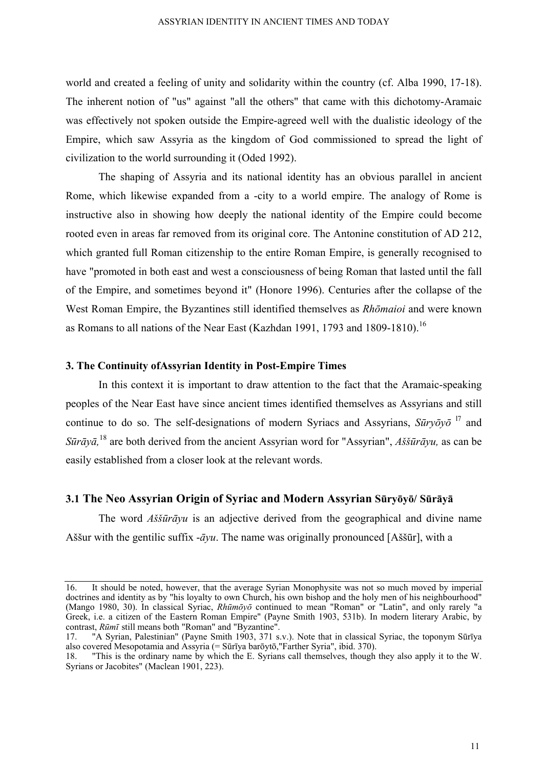world and created a feeling of unity and solidarity within the country (cf. Alba 1990, 17-18). The inherent notion of "us" against "all the others" that came with this dichotomy-Aramaic was effectively not spoken outside the Empire-agreed well with the dualistic ideology of the Empire, which saw Assyria as the kingdom of God commissioned to spread the light of civilization to the world surrounding it (Oded 1992).

The shaping of Assyria and its national identity has an obvious parallel in ancient Rome, which likewise expanded from a -city to a world empire. The analogy of Rome is instructive also in showing how deeply the national identity of the Empire could become rooted even in areas far removed from its original core. The Antonine constitution of AD 212, which granted full Roman citizenship to the entire Roman Empire, is generally recognised to have "promoted in both east and west a consciousness of being Roman that lasted until the fall of the Empire, and sometimes beyond it" (Honore 1996). Centuries after the collapse of the West Roman Empire, the Byzantines still identified themselves as *Rhōmaioi* and were known as Romans to all nations of the Near East (Kazhdan 1991, 1793 and 1809-1810).<sup>16</sup>

## **3. The Continuity ofAssyrian Identity in Post-Empire Times**

In this context it is important to draw attention to the fact that the Aramaic-speaking peoples of the Near East have since ancient times identified themselves as Assyrians and still continue to do so. The self-designations of modern Syriacs and Assyrians, *Sūryōyō* l7 and *Sūrāyā,* <sup>18</sup> are both derived from the ancient Assyrian word for "Assyrian", *Aššūrāyu,* as can be easily established from a closer look at the relevant words.

## **3.1 The Neo Assyrian Origin of Syriac and Modern Assyrian Sūryōyō/ Sūrāyā**

The word *Aššūrāyu* is an adjective derived from the geographical and divine name Aššur with the gentilic suffix -*āyu*. The name was originally pronounced [Aššūr], with a

<sup>16.</sup> It should be noted, however, that the average Syrian Monophysite was not so much moved by imperial doctrines and identity as by "his loyalty to own Church, his own bishop and the holy men of his neighbourhood" (Mango 1980, 30). In classical Syriac, *Rhūmōyō* continued to mean "Roman" or "Latin", and only rarely "a Greek, i.e. a citizen of the Eastern Roman Empire" (Payne Smith 1903, 531b). In modern literary Arabic, by contrast, *Rūmī* still means both "Roman" and "Byzantine".

<sup>17. &</sup>quot;A Syrian, Palestinian" (Payne Smith 1903, 371 s.v.). Note that in classical Syriac, the toponym Sūrīya also covered Mesopotamia and Assyria (= Sūrīya barōytō,"Farther Syria", ibid. 370).

<sup>18. &</sup>quot;This is the ordinary name by which the E. Syrians call themselves, though they also apply it to the W. Syrians or Jacobites" (Maclean 1901, 223).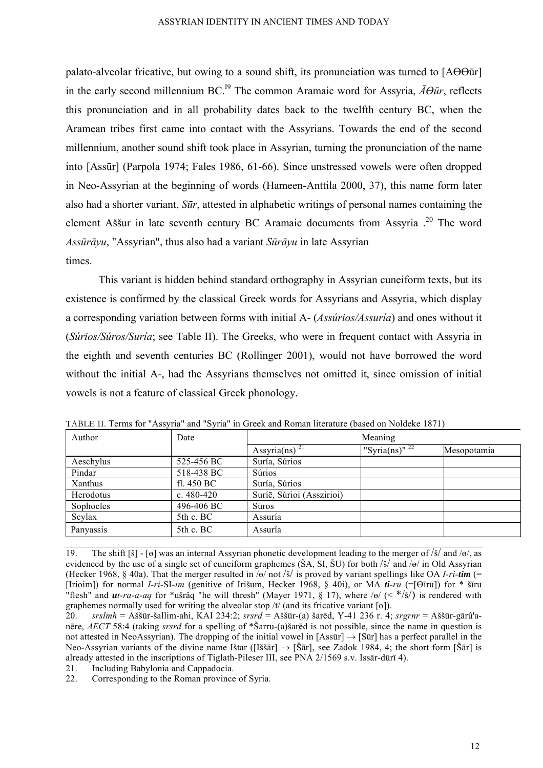palato-alveolar fricative, but owing to a sound shift, its pronunciation was turned to [AӨӨūr] in the early second millennium BC.<sup>19</sup> The common Aramaic word for Assyria,  $\bar{A}\theta\bar{u}$ *r*, reflects this pronunciation and in all probability dates back to the twelfth century BC, when the Aramean tribes first came into contact with the Assyrians. Towards the end of the second millennium, another sound shift took place in Assyrian, turning the pronunciation of the name into [Assūr] (Parpola 1974; Fales 1986, 61-66). Since unstressed vowels were often dropped in Neo-Assyrian at the beginning of words (Hameen-Anttila 2000, 37), this name form later also had a shorter variant, *Sūr*, attested in alphabetic writings of personal names containing the element Aššur in late seventh century BC Aramaic documents from Assyria .20 The word *Assūrāyu*, "Assyrian", thus also had a variant *Sūrāyu* in late Assyrian times.

This variant is hidden behind standard orthography in Assyrian cuneiform texts, but its existence is confirmed by the classical Greek words for Assyrians and Assyria, which display a corresponding variation between forms with initial A- (*Assúrios/Assuría*) and ones without it (*Súrios/Súros/Suría*; see Table II). The Greeks, who were in frequent contact with Assyria in the eighth and seventh centuries BC (Rollinger 2001), would not have borrowed the word without the initial A-, had the Assyrians themselves not omitted it, since omission of initial vowels is not a feature of classical Greek phonology.

| TABLE II. Terms for "Assyria" and "Syria" in Greek and Roman literature (based on Noldeke 1871) |                |                           |                     |             |  |
|-------------------------------------------------------------------------------------------------|----------------|---------------------------|---------------------|-------------|--|
| Author                                                                                          | Date           | Meaning                   |                     |             |  |
|                                                                                                 |                | Assyria(ns) <sup>21</sup> | "Syria(ns)" $^{22}$ | Mesopotamia |  |
| Aeschylus                                                                                       | 525-456 BC     | Suría, Súrios             |                     |             |  |
| Pindar                                                                                          | 518-438 BC     | Súrios                    |                     |             |  |
| Xanthus                                                                                         | fl. 450 BC     | Suría, Súrios             |                     |             |  |
| Herodotus                                                                                       | c. $480 - 420$ | Suríē, Súrioi (Asszirioi) |                     |             |  |
| Sophocles                                                                                       | 496-406 BC     | Súros                     |                     |             |  |
| Scylax                                                                                          | $5th$ c. BC    | Assuría                   |                     |             |  |
| Panyassis                                                                                       | $5th$ c. BC    | Assuría                   |                     |             |  |

<sup>19.</sup> The shift [š] - [ө] was an internal Assyrian phonetic development leading to the merger of /š/ and /ө/, as evidenced by the use of a single set of cuneiform graphemes (ŠA, SI, ŠU) for both /š/ and /ө/ in Old Assyrian (Hecker 1968, § 40a). That the merger resulted in /ө/ not /š/ is proved by variant spellings like OA *I-ri-tim* (= [Iriөim]) for normal *I-ri-*SI*-im* (genitive of Irišum, Hecker 1968, § 40i), or MA *ti-ru* (=[Өīru]) for \* šīru "flesh" and *ut-ra-a-aq* for \*ušrâq "he will thresh" (Mayer 1971, § 17), where /ө/ (< \*/š/) is rendered with graphemes normally used for writing the alveolar stop  $/t/$  (and its fricative variant [ $\theta$ ]).

<sup>20.</sup> *srslmh* = Aššūr-šallim-ahi, KAI 234:2; *srsrd* = Aššūr-(a) šarēd, Y-41 236 r. 4; *srgrnr* = Aššūr-gārû'anēre, *AECT* 58:4 (taking *srsrd* for a spelling of \*Šarru-(a)šarēd is not possible, since the name in question is not attested in NeoAssyrian). The dropping of the initial vowel in  $[Ass\bar{u}r] \rightarrow [S\bar{u}r]$  has a perfect parallel in the Neo-Assyrian variants of the divine name Ištar ([Iššār]  $\rightarrow$  [Šār], see Zadok 1984, 4; the short form [Šār] is already attested in the inscriptions of Tiglath-Pileser III, see PNA 2/1569 s.v. Issār-dūrī 4).

<sup>21.</sup> Including Babylonia and Cappadocia.

<sup>22.</sup> Corresponding to the Roman province of Syria.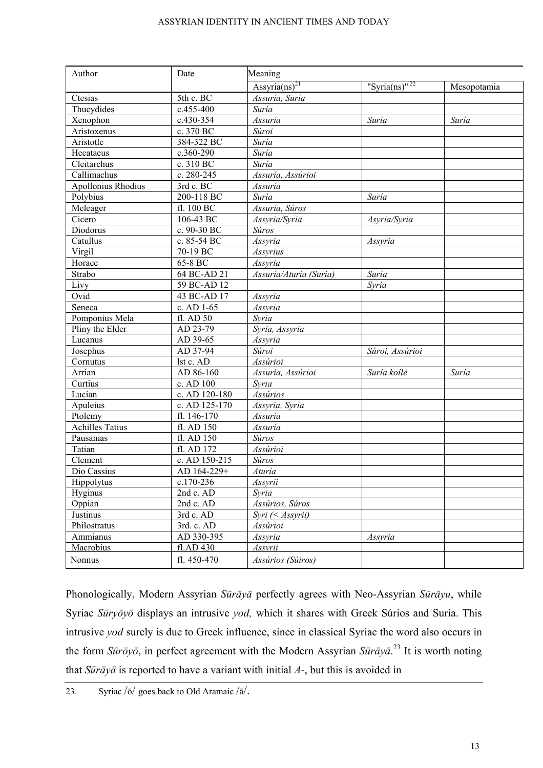| Author                    | Meaning<br>Date |                           |                           |             |
|---------------------------|-----------------|---------------------------|---------------------------|-------------|
|                           |                 | Assyria(ns) <sup>21</sup> | "Syria(ns)" <sup>22</sup> | Mesopotamia |
| Ctesias                   | 5th c. BC       | Assuría, Suría            |                           |             |
| Thucydides                | c.455-400       | Suría                     |                           |             |
| Xenophon                  | c.430-354       | Assuría                   | Suría                     | Suría       |
| Aristoxenus               | c. 370 BC       | Súroi                     |                           |             |
| Aristotle                 | 384-322 BC      | Suría                     |                           |             |
| Hecataeus                 | c.360-290       | $\overline{S}$ uría       |                           |             |
| Cleitarchus               | c. 310 BC       | Suría                     |                           |             |
| Callimachus               | c. 280-245      | Assuría, Assúrioi         |                           |             |
| <b>Apollonius Rhodius</b> | 3rd c. BC       | Assuría                   |                           |             |
| Polybius                  | 200-118 BC      | Suría                     | Suría                     |             |
| Meleager                  | fl. 100 BC      | Assuría, Súros            |                           |             |
| Cicero                    | 106-43 BC       | Assyria/Syria             | Asyria/Syria              |             |
| Diodorus                  | c. 90-30 BC     | Súros                     |                           |             |
| Catullus                  | c. 85-54 BC     | Assyria                   | Assyria                   |             |
| Virgil                    | 70-19 BC        | Assyrius                  |                           |             |
| Horace                    | 65-8 BC         | Assyria                   |                           |             |
| Strabo                    | 64 BC-AD 21     | Assuría/Aturía (Suria)    | Suría                     |             |
| Livy                      | 59 BC-AD 12     |                           | Syria                     |             |
| Ovid                      | 43 BC-AD 17     | Assyria                   |                           |             |
| Seneca                    | c. AD 1-65      | Assyria                   |                           |             |
| Pomponius Mela            | fl. AD 50       | Syria                     |                           |             |
| Pliny the Elder           | AD 23-79        | Syria, Assyria            |                           |             |
| Lucanus                   | AD 39-65        | Assyria                   |                           |             |
| Josephus                  | AD 37-94        | Súroi                     | Súroi, Assúrioi           |             |
| Cornutus                  | lst c. AD       | Assúrioi                  |                           |             |
| Arrian                    | AD 86-160       | Assuría, Assúrioi         | Suría koilē               | Suría       |
| Curtius                   | c. AD 100       | Syria                     |                           |             |
| Lucian                    | c. AD 120-180   | Assúrios                  |                           |             |
| Apuleius                  | c. AD 125-170   | Assyria, Syria            |                           |             |
| Ptolemy                   | fl. 146-170     | Assuría                   |                           |             |
| <b>Achilles Tatius</b>    | fl. AD 150      | Assuría                   |                           |             |
| Pausanias                 | fl. AD 150      | <b>Súros</b>              |                           |             |
| Tatian                    | fl. AD 172      | Assúrioi                  |                           |             |
| Clement                   | c. AD 150-215   | Súros                     |                           |             |
| Dio Cassius               | AD 164-229+     | Aturía                    |                           |             |
| Hippolytus                | c.170-236       | Assyrii                   |                           |             |
| Hyginus                   | 2nd c. AD       | Syria                     |                           |             |
| Oppian                    | 2nd c. AD       | Assúrios, Súros           |                           |             |
| Justinus                  | 3rd c. AD       | $Syri \; (Assyrii)$       |                           |             |
| Philostratus              | 3rd. c. AD      | Assúrioi                  |                           |             |
| Ammianus                  | AD 330-395      | Assyria                   | Assyria                   |             |
| Macrobius                 | fl.AD 430       | Assvrii                   |                           |             |
| Nonnus                    | fl. 450-470     | Assúrios (Súiros)         |                           |             |

Phonologically, Modern Assyrian *Sūrāyā* perfectly agrees with Neo-Assyrian *Sūrāyu*, while Syriac *Sūryōyō* displays an intrusive *yod,* which it shares with Greek Súrios and Suría. This intrusive *yod* surely is due to Greek influence, since in classical Syriac the word also occurs in the form *Sūrōyō*, in perfect agreement with the Modern Assyrian *Sūrāyā*. 23 It is worth noting that *Sūrāyā* is reported to have a variant with initial *A*-, but this is avoided in

<sup>23.</sup> Syriac  $\sqrt{5}$  goes back to Old Aramaic  $\sqrt{a}$ .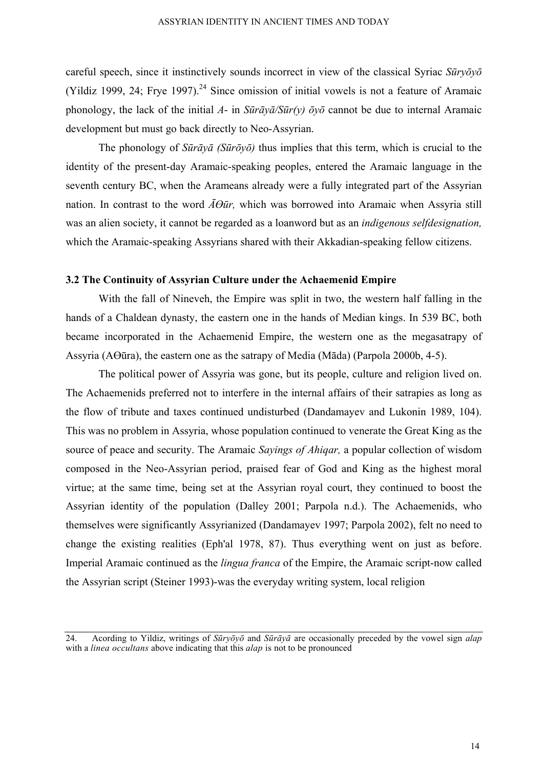careful speech, since it instinctively sounds incorrect in view of the classical Syriac *Sūryōyō* (Yildiz 1999, 24; Frye 1997).<sup>24</sup> Since omission of initial vowels is not a feature of Aramaic phonology, the lack of the initial *A*- in  $\frac{\sin \pi y}{a}$ / $\frac{\sin(y)}{\cos \pi y}$  cannot be due to internal Aramaic development but must go back directly to Neo-Assyrian.

The phonology of *Sūrāyā (Sūrōyō)* thus implies that this term, which is crucial to the identity of the present-day Aramaic-speaking peoples, entered the Aramaic language in the seventh century BC, when the Arameans already were a fully integrated part of the Assyrian nation. In contrast to the word  $\overline{A}\Theta\overline{u}r$ , which was borrowed into Aramaic when Assyria still was an alien society, it cannot be regarded as a loanword but as an *indigenous selfdesignation,*  which the Aramaic-speaking Assyrians shared with their Akkadian-speaking fellow citizens.

## **3.2 The Continuity of Assyrian Culture under the Achaemenid Empire**

With the fall of Nineveh, the Empire was split in two, the western half falling in the hands of a Chaldean dynasty, the eastern one in the hands of Median kings. In 539 BC, both became incorporated in the Achaemenid Empire, the western one as the megasatrapy of Assyria (AӨūra), the eastern one as the satrapy of Media (Māda) (Parpola 2000b, 4-5).

The political power of Assyria was gone, but its people, culture and religion lived on. The Achaemenids preferred not to interfere in the internal affairs of their satrapies as long as the flow of tribute and taxes continued undisturbed (Dandamayev and Lukonin 1989, 104). This was no problem in Assyria, whose population continued to venerate the Great King as the source of peace and security. The Aramaic *Sayings of Ahiqar,* a popular collection of wisdom composed in the Neo-Assyrian period, praised fear of God and King as the highest moral virtue; at the same time, being set at the Assyrian royal court, they continued to boost the Assyrian identity of the population (Dalley 2001; Parpola n.d.). The Achaemenids, who themselves were significantly Assyrianized (Dandamayev 1997; Parpola 2002), felt no need to change the existing realities (Eph'al 1978, 87). Thus everything went on just as before. Imperial Aramaic continued as the *lingua franca* of the Empire, the Aramaic script-now called the Assyrian script (Steiner 1993)-was the everyday writing system, local religion

<sup>24.</sup> Acording to Yildiz, writings of *Sūryōyō* and *Sūrāyā* are occasionally preceded by the vowel sign *alap* with a *linea occultans* above indicating that this *alap* is not to be pronounced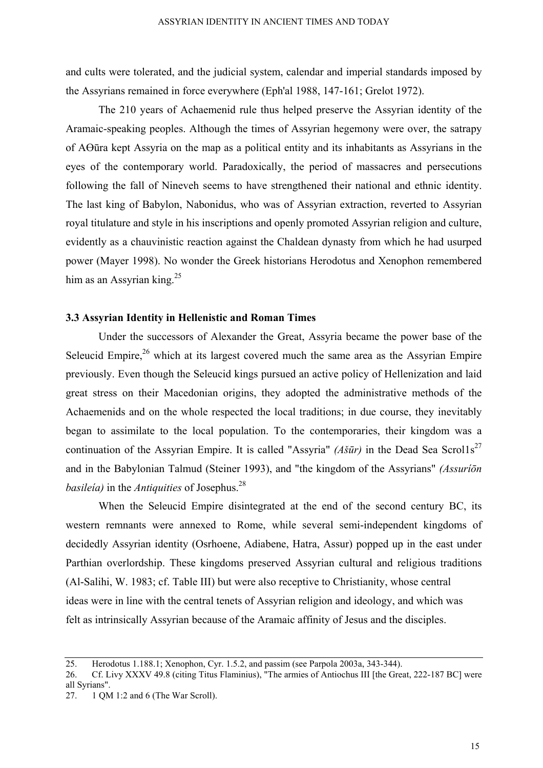and cults were tolerated, and the judicial system, calendar and imperial standards imposed by the Assyrians remained in force everywhere (Eph'al 1988, 147-161; Grelot 1972).

The 210 years of Achaemenid rule thus helped preserve the Assyrian identity of the Aramaic-speaking peoples. Although the times of Assyrian hegemony were over, the satrapy of AӨūra kept Assyria on the map as a political entity and its inhabitants as Assyrians in the eyes of the contemporary world. Paradoxically, the period of massacres and persecutions following the fall of Nineveh seems to have strengthened their national and ethnic identity. The last king of Babylon, Nabonidus, who was of Assyrian extraction, reverted to Assyrian royal titulature and style in his inscriptions and openly promoted Assyrian religion and culture, evidently as a chauvinistic reaction against the Chaldean dynasty from which he had usurped power (Mayer 1998). No wonder the Greek historians Herodotus and Xenophon remembered him as an Assyrian king.<sup>25</sup>

## **3.3 Assyrian Identity in Hellenistic and Roman Times**

Under the successors of Alexander the Great, Assyria became the power base of the Seleucid Empire,  $26$  which at its largest covered much the same area as the Assyrian Empire previously. Even though the Seleucid kings pursued an active policy of Hellenization and laid great stress on their Macedonian origins, they adopted the administrative methods of the Achaemenids and on the whole respected the local traditions; in due course, they inevitably began to assimilate to the local population. To the contemporaries, their kingdom was a continuation of the Assyrian Empire. It is called "Assyria" *(Ašūr)* in the Dead Sea Scrol1s<sup>27</sup> and in the Babylonian Talmud (Steiner 1993), and "the kingdom of the Assyrians" *(Assuríōn basileía)* in the *Antiquities* of Josephus.28

When the Seleucid Empire disintegrated at the end of the second century BC, its western remnants were annexed to Rome, while several semi-independent kingdoms of decidedly Assyrian identity (Osrhoene, Adiabene, Hatra, Assur) popped up in the east under Parthian overlordship. These kingdoms preserved Assyrian cultural and religious traditions (Al-Salihi, W. 1983; cf. Table III) but were also receptive to Christianity, whose central ideas were in line with the central tenets of Assyrian religion and ideology, and which was felt as intrinsically Assyrian because of the Aramaic affinity of Jesus and the disciples.

<sup>25.</sup> Herodotus 1.188.1; Xenophon, Cyr. 1.5.2, and passim (see Parpola 2003a, 343-344).

<sup>26.</sup> Cf. Livy XXXV 49.8 (citing Titus Flaminius), "The armies of Antiochus III [the Great, 222-187 BC] were all Syrians".

<sup>27. 1</sup> QM 1:2 and 6 (The War Scroll).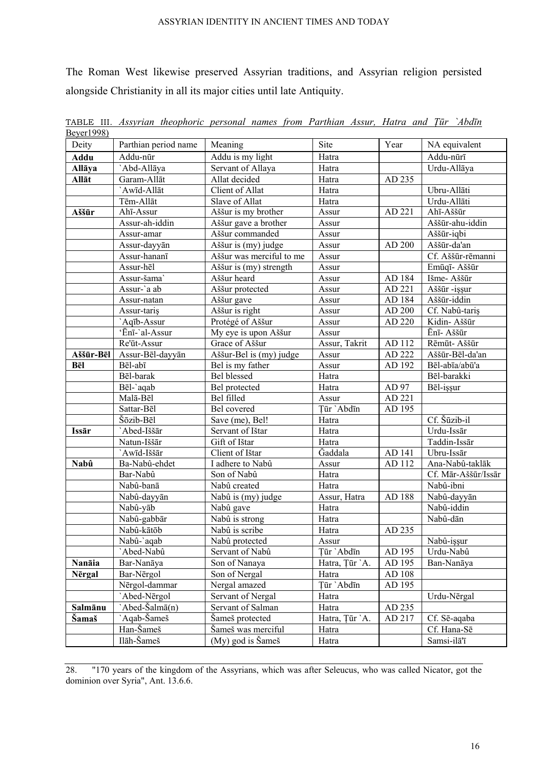The Roman West likewise preserved Assyrian traditions, and Assyrian religion persisted alongside Christianity in all its major cities until late Antiquity.

| <u> Beyel 1998)</u> |                      |                          |                 |        |                     |
|---------------------|----------------------|--------------------------|-----------------|--------|---------------------|
| Deity               | Parthian period name | Meaning                  | Site            | Year   | NA equivalent       |
| Addu                | Addu-nūr             | Addu is my light         | Hatra           |        | Addu-nūrī           |
| Allāya              | `Abd-Allāya          | Servant of Allaya        | Hatra           |        | Urdu-Allāya         |
| Allāt               | Garam-Allāt          | Allat decided            | Hatra<br>AD 235 |        |                     |
|                     | `Awīd-Allāt          | Client of Allat          | Hatra           |        | Ubru-Allāti         |
|                     | Tēm-Allāt            | Slave of Allat           | Hatra           |        | Urdu-Allāti         |
| Aššūr               | Ahī-Assur            | Aššur is my brother      | Assur           | AD 221 | Ahī-Aššūr           |
|                     | Assur-ah-iddin       | Aššur gave a brother     | Assur           |        | Aššūr-ahu-iddin     |
|                     | Assur-amar           | Aššur commanded          | Assur           |        | Aššūr-iqbi          |
|                     | Assur-dayyān         | Aššur is (my) judge      | Assur           | AD 200 | Aššūr-da'an         |
|                     | Assur-hananī         | Aššur was merciful to me | Assur           |        | Cf. Aššūr-rēmanni   |
|                     | Assur-hēl            | Aššur is (my) strength   | Assur           |        | Emūqī- Aššūr        |
|                     | Assur-šama`          | Aššur heard              | Assur           | AD 184 | Išme- Aššūr         |
|                     | Assur-`a ab          | Aššur protected          | Assur           | AD 221 | Aššūr -işşur        |
|                     | Assur-natan          | Aššur gave               | Assur           | AD 184 | Aššūr-iddin         |
|                     | Assur-taris          | Aššur is right           | Assur           | AD 200 | Cf. Nabû-tariş      |
|                     | `Aqīb-Assur          | Protégé of Aššur         | Assur           | AD 220 | Kidin- Aššūr        |
|                     | 'Ēnī-'al-Assur       | My eye is upon Aššur     | Assur           |        | Ēnī- Aššūr          |
|                     | Re'ūt-Assur          | Grace of Aššur           | Assur, Takrit   | AD 112 | Rēmūt-Aššūr         |
| Aššūr-Bēl           | Assur-Bēl-dayyān     | Aššur-Bel is (my) judge  | Assur           | AD 222 | Aššūr-Bēl-da'an     |
| Bēl                 | Bēl-abī              | Bel is my father         | Assur           | AD 192 | Bēl-abīa/abū'a      |
|                     | Bēl-barak            | <b>Bel</b> blessed       | Hatra           |        | Bēl-barakki         |
|                     | Bēl-`aqab            | Bel protected            | Hatra           | AD 97  | Bēl-işşur           |
|                     | Malā-Bēl             | Bel filled               | Assur           | AD 221 |                     |
|                     | Sattar-Bēl           | Bel covered              | Tūr `Abdīn      | AD 195 |                     |
|                     | Šōzib-Bēl            | Save (me), Bel!          | Hatra           |        | Cf. Šūzib-il        |
| Issār               | Abed-Iššār           | Servant of Ištar         | Hatra           |        | Urdu-Issār          |
|                     | Natun-Iššār          | Gift of Ištar            | Hatra           |        | Taddin-Issār        |
|                     | `Awīd-Iššār          | Client of Ištar          | Gaddala         | AD 141 | Ubru-Issār          |
| Nabû                | Ba-Nabû-ehdet        | I adhere to Nabû         | Assur           | AD 112 | Ana-Nabû-taklāk     |
|                     | Bar-Nabû             | Son of Nabû              | Hatra           |        | Cf. Mār-Aššūr/Issār |
|                     | Nabû-banā            | Nabû created             | Hatra           |        | Nabû-ibni           |
|                     | Nabû-dayyān          | Nabû is (my) judge       | Assur, Hatra    | AD 188 | Nabû-dayyān         |
|                     | Nabû-yāb             | Nabû gave                | Hatra           |        | Nabû-iddin          |
|                     | Nabû-gabbār          | Nabû is strong           | Hatra           |        | Nabû-dān            |
|                     | Nabû-kātōb           | Nabû is scribe           | Hatra           | AD 235 |                     |
|                     | Nabû-`aqab           | Nabû protected           | Assur           |        | Nabû-işşur          |
|                     | `Abed-Nabû           | Servant of Nabû          | Ţūr `Abdīn      | AD 195 | Urdu-Nabû           |
| Nanāia              | Bar-Nanāya           | Son of Nanaya            | Hatra, Țūr `A.  | AD 195 | Ban-Nanāya          |
| Nērgal              | Bar-Nērgol           | Son of Nergal            | Hatra           | AD 108 |                     |
|                     | Nērgol-dammar        | Nergal amazed            | Ţūr `Abdīn      | AD 195 |                     |
|                     | `Abed-Nērgol         | Servant of Nergal        | Hatra           |        | Urdu-Nērgal         |
| Salmānu             | `Abed-Šalmā(n)       | Servant of Salman        | Hatra           | AD 235 |                     |
| <b>Samaš</b>        | `Aqab-Šameš          | Šameš protected          | Hatra, Țūr `A.  | AD 217 | Cf. Sē-aqaba        |
|                     | Han-Šameš            | Šameš was merciful       | Hatra           |        | Cf. Hana-Sē         |
|                     | Ilāh-Šameš           | (My) god is Šameš        | Hatra           |        | Samsi-ilā'ī         |

TABLE III. *Assyrian theophoric personal names from Parthian Assur, Hatra and Ţūr `Abdīn*  Beyer1998)

28. "170 years of the kingdom of the Assyrians, which was after Seleucus, who was called Nicator, got the dominion over Syria", Ant. 13.6.6.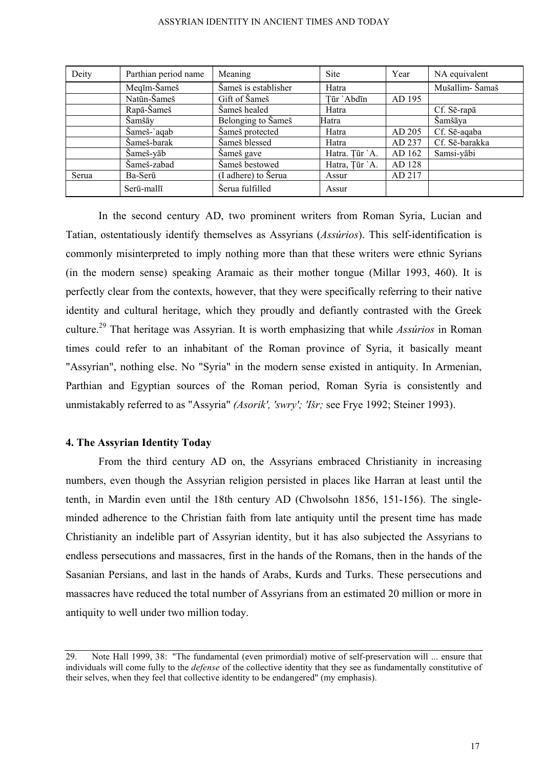| Deity | Parthian period name | Meaning              | <b>Site</b>    | Year   | NA equivalent   |
|-------|----------------------|----------------------|----------------|--------|-----------------|
|       | Meqīm-Šameš          | Šameš is establisher | Hatra          |        | Mušallim- Šamaš |
|       | Natūn-Šameš          | Gift of Šameš        | Tūr `Abdīn     | AD 195 |                 |
|       | Rapā-Šameš           | Šameš healed         | Hatra          |        | Cf. Sē-rapā     |
|       | Šamšāy               | Belonging to Šameš   | Hatra          |        | Šamšāya         |
|       | Šameš-`aqab          | Šameš protected      | Hatra          | AD 205 | Cf. Sē-aqaba    |
|       | Šameš-barak          | Šameš blessed        | Hatra          | AD 237 | Cf. Sē-barakka  |
|       | Šameš-yāb            | Šameš gave           | Hatra. Tūr `A. | AD 162 | Samsi-yābi      |
|       | Šameš-zabad          | Šameš bestowed       | Hatra, Țūr `A. | AD 128 |                 |
| Serua | Ba-Serū              | (I adhere) to Šerua  | Assur          | AD 217 |                 |
|       | Serū-mallī           | Serua fulfilled      | Assur          |        |                 |

In the second century AD, two prominent writers from Roman Syria, Lucian and Tatian, ostentatiously identify themselves as Assyrians (*Assúrios*). This self-identification is commonly misinterpreted to imply nothing more than that these writers were ethnic Syrians (in the modern sense) speaking Aramaic as their mother tongue (Millar 1993, 460). It is perfectly clear from the contexts, however, that they were specifically referring to their native identity and cultural heritage, which they proudly and defiantly contrasted with the Greek culture.29 That heritage was Assyrian. It is worth emphasizing that while *Assúrios* in Roman times could refer to an inhabitant of the Roman province of Syria, it basically meant "Assyrian", nothing else. No "Syria" in the modern sense existed in antiquity. In Armenian, Parthian and Egyptian sources of the Roman period, Roman Syria is consistently and unmistakably referred to as "Assyria" *(Asorik', 'swry'; 'Išr;* see Frye 1992; Steiner 1993).

### **4. The Assyrian Identity Today**

From the third century AD on, the Assyrians embraced Christianity in increasing numbers, even though the Assyrian religion persisted in places like Harran at least until the tenth, in Mardin even until the 18th century AD (Chwolsohn 1856, 151-156). The singleminded adherence to the Christian faith from late antiquity until the present time has made Christianity an indelible part of Assyrian identity, but it has also subjected the Assyrians to endless persecutions and massacres, first in the hands of the Romans, then in the hands of the Sasanian Persians, and last in the hands of Arabs, Kurds and Turks. These persecutions and massacres have reduced the total number of Assyrians from an estimated 20 million or more in antiquity to well under two million today.

<sup>29.</sup> Note Hall 1999, 38: "The fundamental (even primordial) motive of self-preservation will ... ensure that individuals will come fully to the *defense* of the collective identity that they see as fundamentally constitutive of their selves, when they feel that collective identity to be endangered" (my emphasis).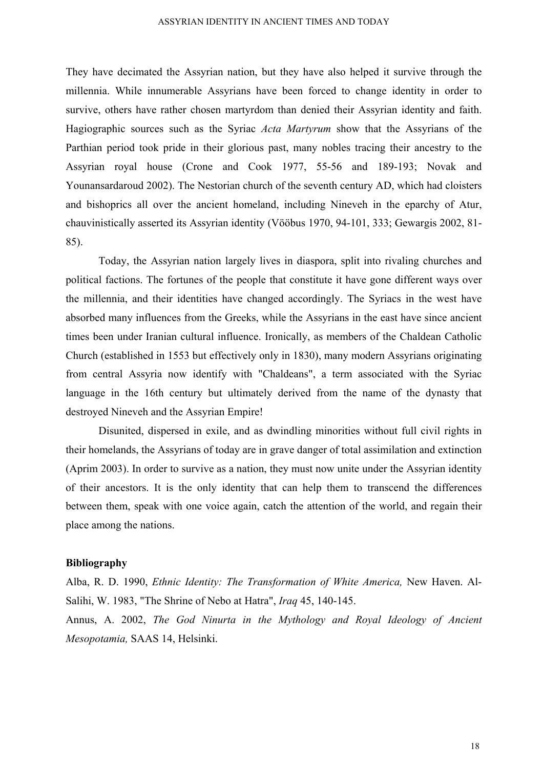They have decimated the Assyrian nation, but they have also helped it survive through the millennia. While innumerable Assyrians have been forced to change identity in order to survive, others have rather chosen martyrdom than denied their Assyrian identity and faith. Hagiographic sources such as the Syriac *Acta Martyrum* show that the Assyrians of the Parthian period took pride in their glorious past, many nobles tracing their ancestry to the Assyrian royal house (Crone and Cook 1977, 55-56 and 189-193; Novak and Younansardaroud 2002). The Nestorian church of the seventh century AD, which had cloisters and bishoprics all over the ancient homeland, including Nineveh in the eparchy of Atur, chauvinistically asserted its Assyrian identity (Vööbus 1970, 94-101, 333; Gewargis 2002, 81- 85).

Today, the Assyrian nation largely lives in diaspora, split into rivaling churches and political factions. The fortunes of the people that constitute it have gone different ways over the millennia, and their identities have changed accordingly. The Syriacs in the west have absorbed many influences from the Greeks, while the Assyrians in the east have since ancient times been under Iranian cultural influence. Ironically, as members of the Chaldean Catholic Church (established in 1553 but effectively only in 1830), many modern Assyrians originating from central Assyria now identify with "Chaldeans", a term associated with the Syriac language in the 16th century but ultimately derived from the name of the dynasty that destroyed Nineveh and the Assyrian Empire!

Disunited, dispersed in exile, and as dwindling minorities without full civil rights in their homelands, the Assyrians of today are in grave danger of total assimilation and extinction (Aprim 2003). In order to survive as a nation, they must now unite under the Assyrian identity of their ancestors. It is the only identity that can help them to transcend the differences between them, speak with one voice again, catch the attention of the world, and regain their place among the nations.

## **Bibliography**

Alba, R. D. 1990, *Ethnic Identity: The Transformation of White America,* New Haven. Al-Salihi, W. 1983, "The Shrine of Nebo at Hatra", *Iraq* 45, 140-145. Annus, A. 2002, *The God Ninurta in the Mythology and Royal Ideology of Ancient Mesopotamia,* SAAS 14, Helsinki.

18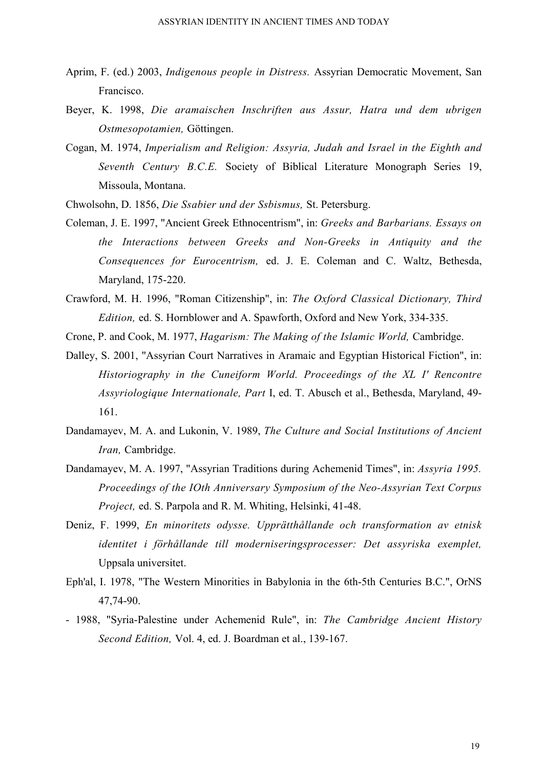- Aprim, F. (ed.) 2003, *Indigenous people in Distress.* Assyrian Democratic Movement, San Francisco.
- Beyer, K. 1998, *Die aramaischen Inschriften aus Assur, Hatra und dem ubrigen Ostmesopotamien,* Göttingen.
- Cogan, M. 1974, *Imperialism and Religion: Assyria, Judah and Israel in the Eighth and Seventh Century B.C.E.* Society of Biblical Literature Monograph Series 19, Missoula, Montana.
- Chwolsohn, D. 1856, *Die Ssabier und der Ssbismus,* St. Petersburg.
- Coleman, J. E. 1997, "Ancient Greek Ethnocentrism", in: *Greeks and Barbarians. Essays on the Interactions between Greeks and Non-Greeks in Antiquity and the Consequences for Eurocentrism,* ed. J. E. Coleman and C. Waltz, Bethesda, Maryland, 175-220.
- Crawford, M. H. 1996, "Roman Citizenship", in: *The Oxford Classical Dictionary, Third Edition,* ed. S. Hornblower and A. Spawforth, Oxford and New York, 334-335.
- Crone, P. and Cook, M. 1977, *Hagarism: The Making of the Islamic World,* Cambridge.
- Dalley, S. 2001, "Assyrian Court Narratives in Aramaic and Egyptian Historical Fiction", in: *Historiography in the Cuneiform World. Proceedings of the XL I' Rencontre Assyriologique Internationale, Part* I, ed. T. Abusch et al., Bethesda, Maryland, 49- 161.
- Dandamayev, M. A. and Lukonin, V. 1989, *The Culture and Social Institutions of Ancient Iran,* Cambridge.
- Dandamayev, M. A. 1997, "Assyrian Traditions during Achemenid Times", in: *Assyria 1995. Proceedings of the IOth Anniversary Symposium of the Neo-Assyrian Text Corpus Project,* ed. S. Parpola and R. M. Whiting, Helsinki, 41-48.
- Deniz, F. 1999, *En minoritets odysse. Upprätthållande och transformation av etnisk identitet i förhållande till moderniseringsprocesser: Det assyriska exemplet,*  Uppsala universitet.
- Eph'al, I. 1978, "The Western Minorities in Babylonia in the 6th-5th Centuries B.C.", OrNS 47,74-90.
- 1988, "Syria-Palestine under Achemenid Rule", in: *The Cambridge Ancient History Second Edition,* Vol. 4, ed. J. Boardman et al., 139-167.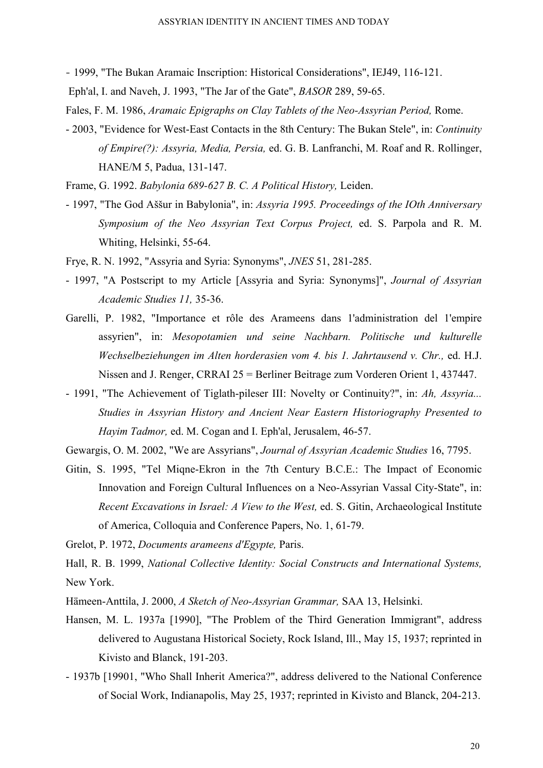- 1999, "The Bukan Aramaic Inscription: Historical Considerations", IEJ49, 116-121.
- Eph'al, I. and Naveh, J. 1993, "The Jar of the Gate", *BASOR* 289, 59-65.
- Fales, F. M. 1986, *Aramaic Epigraphs on Clay Tablets of the Neo-Assyrian Period,* Rome.
- 2003, "Evidence for West-East Contacts in the 8th Century: The Bukan Stele", in: *Continuity of Empire(?): Assyria, Media, Persia,* ed. G. B. Lanfranchi, M. Roaf and R. Rollinger, HANE/M 5, Padua, 131-147.

Frame, G. 1992. *Babylonia 689-627 B. C. A Political History,* Leiden.

- 1997, "The God Aššur in Babylonia", in: *Assyria 1995. Proceedings of the IOth Anniversary Symposium of the Neo Assyrian Text Corpus Project,* ed. S. Parpola and R. M. Whiting, Helsinki, 55-64.
- Frye, R. N. 1992, "Assyria and Syria: Synonyms", *JNES* 51, 281-285.
- 1997, "A Postscript to my Article [Assyria and Syria: Synonyms]", *Journal of Assyrian Academic Studies 11,* 35-36.
- Garelli, P. 1982, "Importance et rôle des Arameens dans 1'administration del 1'empire assyrien", in: *Mesopotamien und seine Nachbarn. Politische und kulturelle Wechselbeziehungen im Alten horderasien vom 4. bis 1. Jahrtausend v. Chr.,* ed. H.J. Nissen and J. Renger, CRRAI 25 = Berliner Beitrage zum Vorderen Orient 1, 437447.
- 1991, "The Achievement of Tiglath-pileser III: Novelty or Continuity?", in: *Ah, Assyria... Studies in Assyrian History and Ancient Near Eastern Historiography Presented to Hayim Tadmor,* ed. M. Cogan and I. Eph'al, Jerusalem, 46-57.
- Gewargis, O. M. 2002, "We are Assyrians", *Journal of Assyrian Academic Studies* 16, 7795.
- Gitin, S. 1995, "Tel Miqne-Ekron in the 7th Century B.C.E.: The Impact of Economic Innovation and Foreign Cultural Influences on a Neo-Assyrian Vassal City-State", in: *Recent Excavations in Israel: A View to the West,* ed. S. Gitin, Archaeological Institute of America, Colloquia and Conference Papers, No. 1, 61-79.

Grelot, P. 1972, *Documents arameens d'Egypte,* Paris.

Hall, R. B. 1999, *National Collective Identity: Social Constructs and International Systems,*  New York.

- Hämeen-Anttila, J. 2000, *A Sketch of Neo-Assyrian Grammar,* SAA 13, Helsinki.
- Hansen, M. L. 1937a [1990], "The Problem of the Third Generation Immigrant", address delivered to Augustana Historical Society, Rock Island, Ill., May 15, 1937; reprinted in Kivisto and Blanck, 191-203.
- 1937b [19901, "Who Shall Inherit America?", address delivered to the National Conference of Social Work, Indianapolis, May 25, 1937; reprinted in Kivisto and Blanck, 204-213.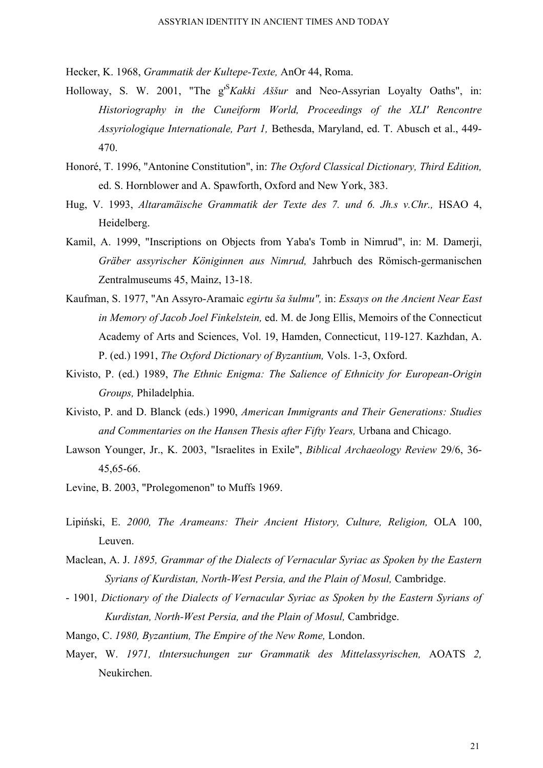Hecker, K. 1968, *Grammatik der Kultepe-Texte,* AnOr 44, Roma.

- Holloway, S. W. 2001, "The g'<sup>S</sup> *Kakki Aššur* and Neo-Assyrian Loyalty Oaths", in: *Historiography in the Cuneiform World, Proceedings of the XLI' Rencontre Assyriologique Internationale, Part 1,* Bethesda, Maryland, ed. T. Abusch et al., 449- 470.
- Honoré, T. 1996, "Antonine Constitution", in: *The Oxford Classical Dictionary, Third Edition,*  ed. S. Hornblower and A. Spawforth, Oxford and New York, 383.
- Hug, V. 1993, *Altaramäische Grammatik der Texte des 7. und 6. Jh.s v.Chr.,* HSAO 4, Heidelberg.
- Kamil, A. 1999, "Inscriptions on Objects from Yaba's Tomb in Nimrud", in: M. Damerji, *Gräber assyrischer Königinnen aus Nimrud,* Jahrbuch des Römisch-germanischen Zentralmuseums 45, Mainz, 13-18.
- Kaufman, S. 1977, "An Assyro-Aramaic *egirtu ša šulmu",* in: *Essays on the Ancient Near East in Memory of Jacob Joel Finkelstein,* ed. M. de Jong Ellis, Memoirs of the Connecticut Academy of Arts and Sciences, Vol. 19, Hamden, Connecticut, 119-127. Kazhdan, A. P. (ed.) 1991, *The Oxford Dictionary of Byzantium,* Vols. 1-3, Oxford.
- Kivisto, P. (ed.) 1989, *The Ethnic Enigma: The Salience of Ethnicity for European-Origin Groups,* Philadelphia.
- Kivisto, P. and D. Blanck (eds.) 1990, *American Immigrants and Their Generations: Studies and Commentaries on the Hansen Thesis after Fifty Years,* Urbana and Chicago.
- Lawson Younger, Jr., K. 2003, "Israelites in Exile", *Biblical Archaeology Review* 29/6, 36- 45,65-66.
- Levine, B. 2003, "Prolegomenon" to Muffs 1969.
- Lipiński, E. *2000, The Arameans: Their Ancient History, Culture, Religion,* OLA 100, Leuven.
- Maclean, A. J. *1895, Grammar of the Dialects of Vernacular Syriac as Spoken by the Eastern Syrians of Kurdistan, North-West Persia, and the Plain of Mosul,* Cambridge.
- 1901*, Dictionary of the Dialects of Vernacular Syriac as Spoken by the Eastern Syrians of Kurdistan, North-West Persia, and the Plain of Mosul,* Cambridge.
- Mango, C. *1980, Byzantium, The Empire of the New Rome,* London.
- Mayer, W. *1971, tlntersuchungen zur Grammatik des Mittelassyrischen,* AOATS *2,*  Neukirchen.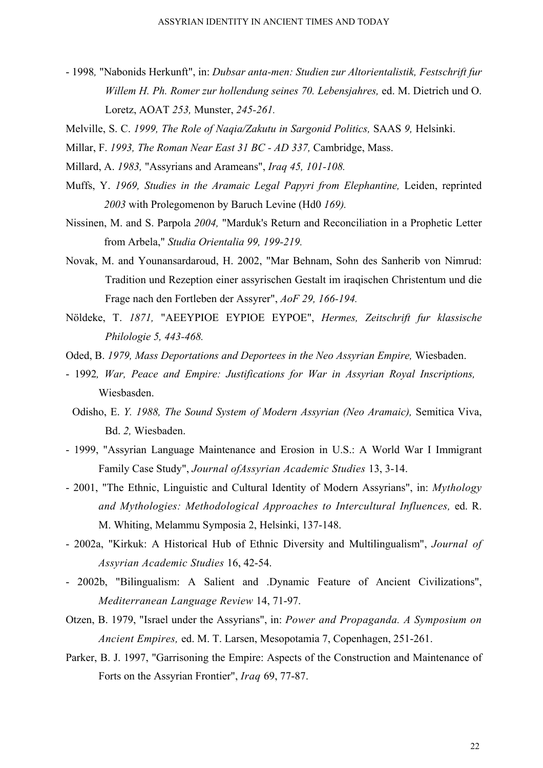- 1998*,* "Nabonids Herkunft", in: *Dubsar anta-men: Studien zur Altorientalistik, Festschrift fur Willem H. Ph. Romer zur hollendung seines 70. Lebensjahres,* ed. M. Dietrich und O. Loretz, AOAT *253,* Munster, *245-261.*
- Melville, S. C. *1999, The Role of Naqia/Zakutu in Sargonid Politics,* SAAS *9,* Helsinki.

Millar, F. *1993, The Roman Near East 31 BC - AD 337,* Cambridge, Mass.

- Millard, A. *1983,* "Assyrians and Arameans", *Iraq 45, 101-108.*
- Muffs, Y. *1969, Studies in the Aramaic Legal Papyri from Elephantine,* Leiden, reprinted *2003* with Prolegomenon by Baruch Levine (Hd0 *169).*
- Nissinen, M. and S. Parpola *2004,* "Marduk's Return and Reconciliation in a Prophetic Letter from Arbela," *Studia Orientalia 99, 199-219.*
- Novak, M. and Younansardaroud, H. 2002, "Mar Behnam, Sohn des Sanherib von Nimrud: Tradition und Rezeption einer assyrischen Gestalt im iraqischen Christentum und die Frage nach den Fortleben der Assyrer", *AoF 29, 166-194.*
- Nöldeke, T. *1871,* "AEEYPIOE EYPIOE EYPOE", *Hermes, Zeitschrift fur klassische Philologie 5, 443-468.*
- Oded, B. *1979, Mass Deportations and Deportees in the Neo Assyrian Empire,* Wiesbaden.
- 1992*, War, Peace and Empire: Justifications for War in Assyrian Royal Inscriptions,*  Wiesbasden.
	- Odisho, E. *Y. 1988, The Sound System of Modern Assyrian (Neo Aramaic),* Semitica Viva, Bd. *2,* Wiesbaden.
- 1999, "Assyrian Language Maintenance and Erosion in U.S.: A World War I Immigrant Family Case Study", *Journal ofAssyrian Academic Studies* 13, 3-14.
- 2001, "The Ethnic, Linguistic and Cultural Identity of Modern Assyrians", in: *Mythology and Mythologies: Methodological Approaches to Intercultural Influences,* ed. R. M. Whiting, Melammu Symposia 2, Helsinki, 137-148.
- 2002a, "Kirkuk: A Historical Hub of Ethnic Diversity and Multilingualism", *Journal of Assyrian Academic Studies* 16, 42-54.
- 2002b, "Bilingualism: A Salient and .Dynamic Feature of Ancient Civilizations", *Mediterranean Language Review* 14, 71-97.
- Otzen, B. 1979, "Israel under the Assyrians", in: *Power and Propaganda. A Symposium on Ancient Empires,* ed. M. T. Larsen, Mesopotamia 7, Copenhagen, 251-261.
- Parker, B. J. 1997, "Garrisoning the Empire: Aspects of the Construction and Maintenance of Forts on the Assyrian Frontier", *Iraq* 69, 77-87.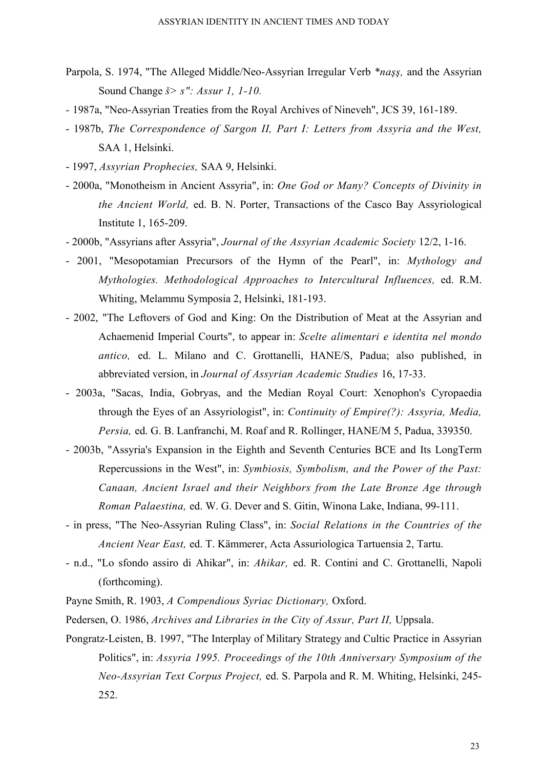- Parpola, S. 1974, "The Alleged Middle/Neo-Assyrian Irregular Verb *\*naşş,* and the Assyrian Sound Change *š> s": Assur 1, 1-10.*
- 1987a, "Neo-Assyrian Treaties from the Royal Archives of Nineveh", JCS 39, 161-189.
- 1987b, *The Correspondence of Sargon II, Part I: Letters from Assyria and the West,*  SAA 1, Helsinki.
- 1997, *Assyrian Prophecies,* SAA 9, Helsinki.
- 2000a, "Monotheism in Ancient Assyria", in: *One God or Many? Concepts of Divinity in the Ancient World,* ed. B. N. Porter, Transactions of the Casco Bay Assyriological Institute 1, 165-209.
- 2000b, "Assyrians after Assyria", *Journal of the Assyrian Academic Society* 12/2, 1-16.
- 2001, "Mesopotamian Precursors of the Hymn of the Pearl", in: *Mythology and Mythologies. Methodological Approaches to Intercultural Influences,* ed. R.M. Whiting, Melammu Symposia 2, Helsinki, 181-193.
- 2002, "The Leftovers of God and King: On the Distribution of Meat at the Assyrian and Achaemenid Imperial Courts", to appear in: *Scelte alimentari e identita nel mondo antico,* ed. L. Milano and C. Grottanelli, HANE/S, Padua; also published, in abbreviated version, in *Journal of Assyrian Academic Studies* 16, 17-33.
- 2003a, "Sacas, India, Gobryas, and the Median Royal Court: Xenophon's Cyropaedia through the Eyes of an Assyriologist", in: *Continuity of Empire(?): Assyria, Media, Persia,* ed. G. B. Lanfranchi, M. Roaf and R. Rollinger, HANE/M 5, Padua, 339350.
- 2003b, "Assyria's Expansion in the Eighth and Seventh Centuries BCE and Its LongTerm Repercussions in the West", in: *Symbiosis, Symbolism, and the Power of the Past: Canaan, Ancient Israel and their Neighbors from the Late Bronze Age through Roman Palaestina,* ed. W. G. Dever and S. Gitin, Winona Lake, Indiana, 99-111.
- in press, "The Neo-Assyrian Ruling Class", in: *Social Relations in the Countries of the Ancient Near East,* ed. T. Kämmerer, Acta Assuriologica Tartuensia 2, Tartu.
- n.d., "Lo sfondo assiro di Ahikar", in: *Ahikar,* ed. R. Contini and C. Grottanelli, Napoli (forthcoming).
- Payne Smith, R. 1903, *A Compendious Syriac Dictionary,* Oxford.
- Pedersen, O. 1986, *Archives and Libraries in the City of Assur, Part II,* Uppsala.
- Pongratz-Leisten, B. 1997, "The Interplay of Military Strategy and Cultic Practice in Assyrian Politics", in: *Assyria 1995. Proceedings of the 10th Anniversary Symposium of the Neo-Assyrian Text Corpus Project,* ed. S. Parpola and R. M. Whiting, Helsinki, 245- 252.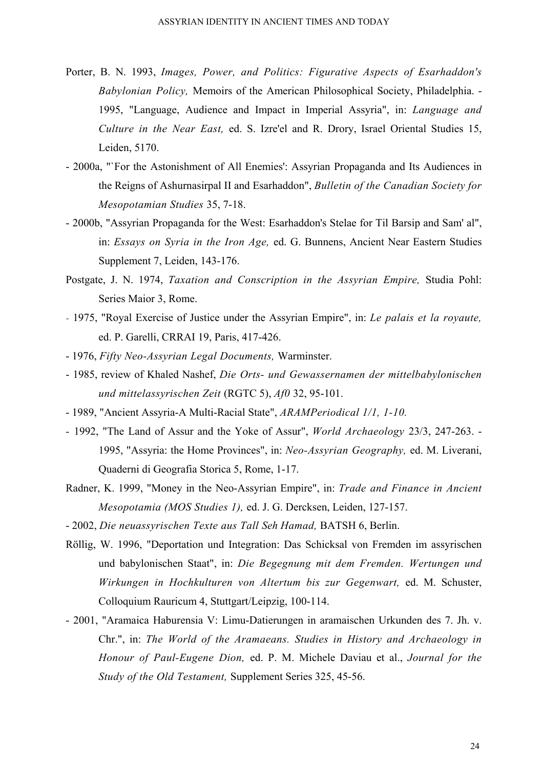- Porter, B. N. 1993, *Images, Power, and Politics: Figurative Aspects of Esarhaddon's Babylonian Policy,* Memoirs of the American Philosophical Society, Philadelphia. - 1995, "Language, Audience and Impact in Imperial Assyria", in: *Language and Culture in the Near East,* ed. S. Izre'el and R. Drory, Israel Oriental Studies 15, Leiden, 5170.
- 2000a, "`For the Astonishment of All Enemies': Assyrian Propaganda and Its Audiences in the Reigns of Ashurnasirpal II and Esarhaddon", *Bulletin of the Canadian Society for Mesopotamian Studies* 35, 7-18.
- 2000b, "Assyrian Propaganda for the West: Esarhaddon's Stelae for Til Barsip and Sam' al", in: *Essays on Syria in the Iron Age,* ed. G. Bunnens, Ancient Near Eastern Studies Supplement 7, Leiden, 143-176.
- Postgate, J. N. 1974, *Taxation and Conscription in the Assyrian Empire,* Studia Pohl: Series Maior 3, Rome.
- 1975, "Royal Exercise of Justice under the Assyrian Empire", in: *Le palais et la royaute,*  ed. P. Garelli, CRRAI 19, Paris, 417-426.
- 1976, *Fifty Neo-Assyrian Legal Documents,* Warminster.
- 1985, review of Khaled Nashef, *Die Orts- und Gewassernamen der mittelbabylonischen und mittelassyrischen Zeit* (RGTC 5), *Af0* 32, 95-101.
- 1989, "Ancient Assyria-A Multi-Racial State", *ARAMPeriodical 1/1, 1-10.*
- 1992, "The Land of Assur and the Yoke of Assur", *World Archaeology* 23/3, 247-263. 1995, "Assyria: the Home Provinces", in: *Neo-Assyrian Geography,* ed. M. Liverani, Quaderni di Geografia Storica 5, Rome, 1-17.
- Radner, K. 1999, "Money in the Neo-Assyrian Empire", in: *Trade and Finance in Ancient Mesopotamia (MOS Studies 1),* ed. J. G. Dercksen, Leiden, 127-157.
- 2002, *Die neuassyrischen Texte aus Tall Seh Hamad,* BATSH 6, Berlin.
- Röllig, W. 1996, "Deportation und Integration: Das Schicksal von Fremden im assyrischen und babylonischen Staat", in: *Die Begegnung mit dem Fremden. Wertungen und Wirkungen in Hochkulturen von Altertum bis zur Gegenwart,* ed. M. Schuster, Colloquium Rauricum 4, Stuttgart/Leipzig, 100-114.
- 2001, "Aramaica Haburensia V: Limu-Datierungen in aramaischen Urkunden des 7. Jh. v. Chr.", in: *The World of the Aramaeans. Studies in History and Archaeology in Honour of Paul-Eugene Dion,* ed. P. M. Michele Daviau et al., *Journal for the Study of the Old Testament,* Supplement Series 325, 45-56.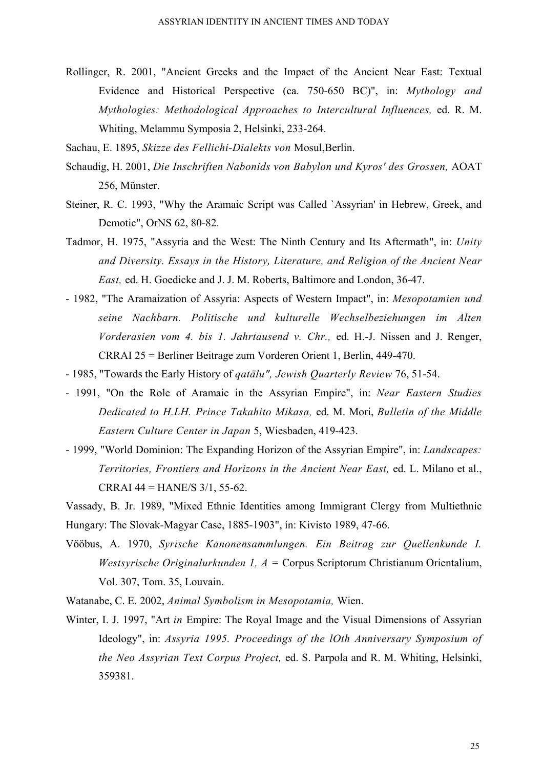Rollinger, R. 2001, "Ancient Greeks and the Impact of the Ancient Near East: Textual Evidence and Historical Perspective (ca. 750-650 BC)", in: *Mythology and Mythologies: Methodological Approaches to Intercultural Influences,* ed. R. M. Whiting, Melammu Symposia 2, Helsinki, 233-264.

Sachau, E. 1895, *Skizze des Fellichi-Dialekts von* Mosul,Berlin.

- Schaudig, H. 2001, *Die Inschriften Nabonids von Babylon und Kyros' des Grossen,* AOAT 256, Münster.
- Steiner, R. C. 1993, "Why the Aramaic Script was Called `Assyrian' in Hebrew, Greek, and Demotic", OrNS 62, 80-82.
- Tadmor, H. 1975, "Assyria and the West: The Ninth Century and Its Aftermath", in: *Unity and Diversity. Essays in the History, Literature, and Religion of the Ancient Near East,* ed. H. Goedicke and J. J. M. Roberts, Baltimore and London, 36-47.
- 1982, "The Aramaization of Assyria: Aspects of Western Impact", in: *Mesopotamien und seine Nachbarn. Politische und kulturelle Wechselbeziehungen im Alten Vorderasien vom 4. bis 1. Jahrtausend v. Chr.,* ed. H.-J. Nissen and J. Renger, CRRAI 25 = Berliner Beitrage zum Vorderen Orient 1, Berlin, 449-470.
- 1985, "Towards the Early History of *qatālu", Jewish Quarterly Review* 76, 51-54.
- 1991, "On the Role of Aramaic in the Assyrian Empire", in: *Near Eastern Studies Dedicated to H.LH. Prince Takahito Mikasa,* ed. M. Mori, *Bulletin of the Middle Eastern Culture Center in Japan* 5, Wiesbaden, 419-423.
- 1999, "World Dominion: The Expanding Horizon of the Assyrian Empire", in: *Landscapes: Territories, Frontiers and Horizons in the Ancient Near East,* ed. L. Milano et al., CRRAI  $44 =$  HANE/S  $3/1, 55-62$ .

Vassady, B. Jr. 1989, "Mixed Ethnic Identities among Immigrant Clergy from Multiethnic Hungary: The Slovak-Magyar Case, 1885-1903", in: Kivisto 1989, 47-66.

- Vööbus, A. 1970, *Syrische Kanonensammlungen. Ein Beitrag zur Quellenkunde I. Westsyrische Originalurkunden 1, A =* Corpus Scriptorum Christianum Orientalium, Vol. 307, Tom. 35, Louvain.
- Watanabe, C. E. 2002, *Animal Symbolism in Mesopotamia,* Wien.
- Winter, I. J. 1997, "Art *in* Empire: The Royal Image and the Visual Dimensions of Assyrian Ideology", in: *Assyria 1995. Proceedings of the lOth Anniversary Symposium of the Neo Assyrian Text Corpus Project,* ed. S. Parpola and R. M. Whiting, Helsinki, 359381.